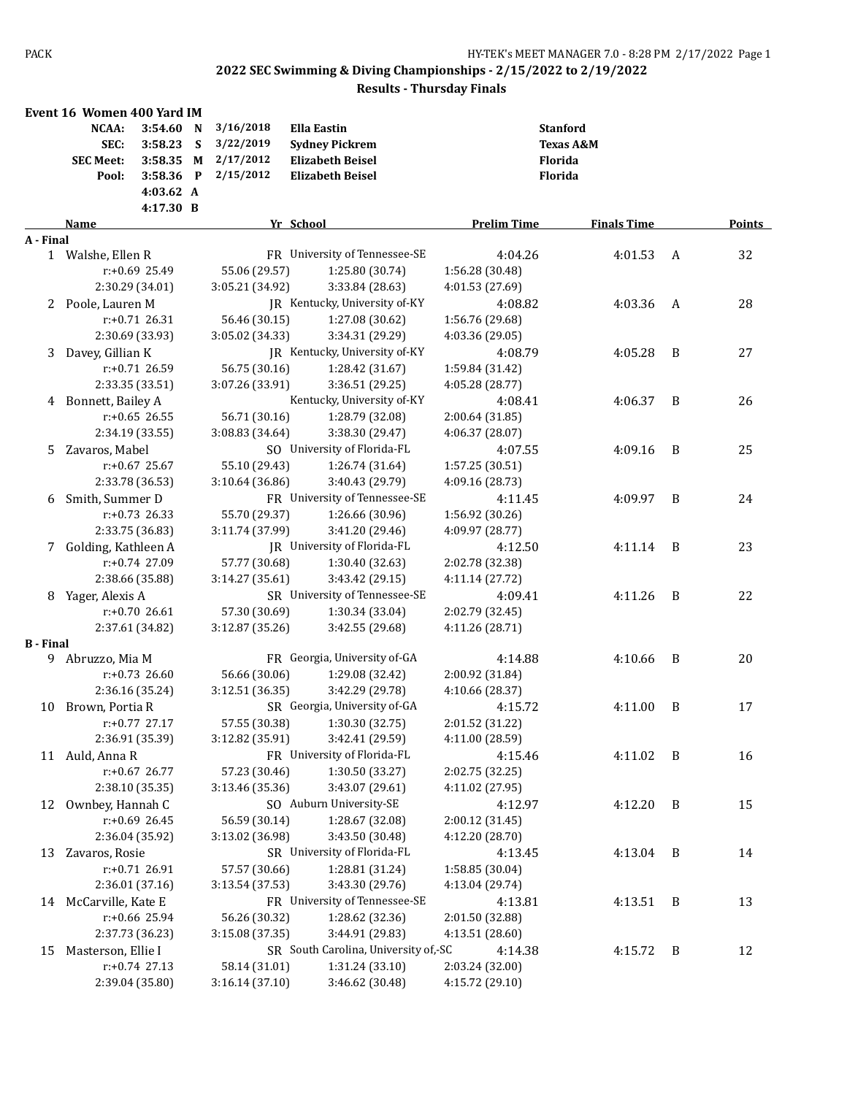|                  | Event 16 Women 400 Yard IM |                  |              |                 |                                      |                                    |                      |   |               |
|------------------|----------------------------|------------------|--------------|-----------------|--------------------------------------|------------------------------------|----------------------|---|---------------|
|                  | NCAA:                      | 3:54.60          | N            | 3/16/2018       | <b>Ella Eastin</b>                   |                                    | <b>Stanford</b>      |   |               |
|                  | SEC:                       | 3:58.23          | S            | 3/22/2019       | <b>Sydney Pickrem</b>                |                                    | <b>Texas A&amp;M</b> |   |               |
|                  | <b>SEC Meet:</b>           | 3:58.35          | M            | 2/17/2012       | <b>Elizabeth Beisel</b>              |                                    | Florida              |   |               |
|                  | Pool:                      | 3:58.36          | $\mathbf{P}$ | 2/15/2012       | <b>Elizabeth Beisel</b>              |                                    | Florida              |   |               |
|                  |                            | 4:03.62 A        |              |                 |                                      |                                    |                      |   |               |
|                  |                            | 4:17.30 B        |              |                 |                                      |                                    |                      |   |               |
|                  | Name                       |                  |              |                 | Yr School                            | <b>Prelim Time</b>                 | <b>Finals Time</b>   |   | <b>Points</b> |
| A - Final        |                            |                  |              |                 | FR University of Tennessee-SE        | 4:04.26                            | 4:01.53              | A | 32            |
|                  | 1 Walshe, Ellen R          | $r: +0.69$ 25.49 |              | 55.06 (29.57)   | 1:25.80 (30.74)                      |                                    |                      |   |               |
|                  |                            | 2:30.29 (34.01)  |              | 3:05.21 (34.92) | 3:33.84 (28.63)                      | 1:56.28 (30.48)<br>4:01.53 (27.69) |                      |   |               |
|                  | 2 Poole, Lauren M          |                  |              |                 | JR Kentucky, University of-KY        | 4:08.82                            | 4:03.36              | A | 28            |
|                  |                            | $r: +0.71$ 26.31 |              | 56.46 (30.15)   | 1:27.08 (30.62)                      | 1:56.76 (29.68)                    |                      |   |               |
|                  |                            | 2:30.69 (33.93)  |              | 3:05.02 (34.33) | 3:34.31 (29.29)                      | 4:03.36 (29.05)                    |                      |   |               |
| 3                | Davey, Gillian K           |                  |              |                 | JR Kentucky, University of-KY        | 4:08.79                            | 4:05.28              | B | 27            |
|                  |                            | r:+0.71 26.59    |              | 56.75 (30.16)   | 1:28.42 (31.67)                      | 1:59.84 (31.42)                    |                      |   |               |
|                  |                            | 2:33.35 (33.51)  |              | 3:07.26 (33.91) | 3:36.51 (29.25)                      | 4:05.28 (28.77)                    |                      |   |               |
| 4                | Bonnett, Bailey A          |                  |              |                 | Kentucky, University of-KY           | 4:08.41                            | 4:06.37              | B | 26            |
|                  |                            | $r: +0.65$ 26.55 |              | 56.71 (30.16)   | 1:28.79 (32.08)                      | 2:00.64 (31.85)                    |                      |   |               |
|                  |                            | 2:34.19 (33.55)  |              | 3:08.83 (34.64) | 3:38.30 (29.47)                      | 4:06.37 (28.07)                    |                      |   |               |
| 5.               | Zavaros, Mabel             |                  |              |                 | SO University of Florida-FL          | 4:07.55                            | 4:09.16              | B | 25            |
|                  |                            | $r: +0.67$ 25.67 |              | 55.10 (29.43)   | 1:26.74 (31.64)                      | 1:57.25 (30.51)                    |                      |   |               |
|                  |                            | 2:33.78 (36.53)  |              | 3:10.64 (36.86) | 3:40.43 (29.79)                      | 4:09.16 (28.73)                    |                      |   |               |
| 6                | Smith, Summer D            |                  |              |                 | FR University of Tennessee-SE        | 4:11.45                            | 4:09.97              | B | 24            |
|                  |                            | $r: +0.73$ 26.33 |              | 55.70 (29.37)   | 1:26.66 (30.96)                      | 1:56.92 (30.26)                    |                      |   |               |
|                  |                            | 2:33.75 (36.83)  |              | 3:11.74 (37.99) | 3:41.20 (29.46)                      | 4:09.97 (28.77)                    |                      |   |               |
| 7                | Golding, Kathleen A        |                  |              |                 | JR University of Florida-FL          | 4:12.50                            | 4:11.14              | B | 23            |
|                  |                            | r:+0.74 27.09    |              | 57.77 (30.68)   | 1:30.40 (32.63)                      | 2:02.78 (32.38)                    |                      |   |               |
|                  |                            | 2:38.66 (35.88)  |              | 3:14.27 (35.61) | 3:43.42 (29.15)                      | 4:11.14 (27.72)                    |                      |   |               |
| 8                | Yager, Alexis A            |                  |              |                 | SR University of Tennessee-SE        | 4:09.41                            | 4:11.26              | B | 22            |
|                  |                            | $r: +0.7026.61$  |              | 57.30 (30.69)   | 1:30.34 (33.04)                      | 2:02.79 (32.45)                    |                      |   |               |
|                  |                            | 2:37.61 (34.82)  |              | 3:12.87 (35.26) | 3:42.55 (29.68)                      | 4:11.26 (28.71)                    |                      |   |               |
| <b>B</b> - Final |                            |                  |              |                 |                                      |                                    |                      |   |               |
|                  | 9 Abruzzo, Mia M           |                  |              |                 | FR Georgia, University of-GA         | 4:14.88                            | 4:10.66              | B | 20            |
|                  |                            | $r: +0.73$ 26.60 |              | 56.66 (30.06)   | 1:29.08 (32.42)                      | 2:00.92 (31.84)                    |                      |   |               |
|                  |                            | 2:36.16 (35.24)  |              | 3:12.51 (36.35) | 3:42.29 (29.78)                      | 4:10.66 (28.37)                    |                      |   |               |
|                  | 10 Brown, Portia R         |                  |              |                 | SR Georgia, University of-GA         | 4:15.72                            | 4:11.00              | B | 17            |
|                  |                            | r:+0.77 27.17    |              |                 | 57.55 (30.38) 1:30.30 (32.75)        | 2:01.52 (31.22)                    |                      |   |               |
|                  |                            | 2:36.91 (35.39)  |              | 3:12.82 (35.91) | 3:42.41 (29.59)                      | 4:11.00 (28.59)                    |                      |   |               |
|                  | 11 Auld, Anna R            |                  |              |                 | FR University of Florida-FL          | 4:15.46                            | 4:11.02              | B | 16            |
|                  |                            | r:+0.67 26.77    |              | 57.23 (30.46)   | 1:30.50 (33.27)                      | 2:02.75 (32.25)                    |                      |   |               |
|                  |                            | 2:38.10 (35.35)  |              | 3:13.46 (35.36) | 3:43.07 (29.61)                      | 4:11.02 (27.95)                    |                      |   |               |
| 12               | Ownbey, Hannah C           |                  |              |                 | SO Auburn University-SE              | 4:12.97                            | 4:12.20              | B | 15            |
|                  |                            | r:+0.69 26.45    |              | 56.59 (30.14)   | 1:28.67 (32.08)                      | 2:00.12 (31.45)                    |                      |   |               |
|                  |                            | 2:36.04 (35.92)  |              | 3:13.02 (36.98) | 3:43.50 (30.48)                      | 4:12.20 (28.70)                    |                      |   |               |
| 13               | Zavaros, Rosie             |                  |              |                 | SR University of Florida-FL          | 4:13.45                            | 4:13.04              | B | 14            |
|                  |                            | $r: +0.71$ 26.91 |              | 57.57 (30.66)   | 1:28.81 (31.24)                      | 1:58.85 (30.04)                    |                      |   |               |
|                  |                            | 2:36.01 (37.16)  |              | 3:13.54 (37.53) | 3:43.30 (29.76)                      | 4:13.04 (29.74)                    |                      |   |               |
|                  | 14 McCarville, Kate E      |                  |              |                 | FR University of Tennessee-SE        | 4:13.81                            | $4:13.51$ B          |   | 13            |
|                  |                            | r:+0.66 25.94    |              | 56.26 (30.32)   | 1:28.62 (32.36)                      | 2:01.50 (32.88)                    |                      |   |               |
|                  |                            | 2:37.73 (36.23)  |              | 3:15.08 (37.35) | 3:44.91 (29.83)                      | 4:13.51 (28.60)                    |                      |   |               |
| 15               | Masterson, Ellie I         |                  |              |                 | SR South Carolina, University of,-SC | 4:14.38                            | 4:15.72              | B | 12            |
|                  |                            | $r: +0.74$ 27.13 |              | 58.14 (31.01)   | 1:31.24 (33.10)                      | 2:03.24 (32.00)                    |                      |   |               |
|                  |                            | 2:39.04 (35.80)  |              | 3:16.14 (37.10) | 3:46.62 (30.48)                      | 4:15.72 (29.10)                    |                      |   |               |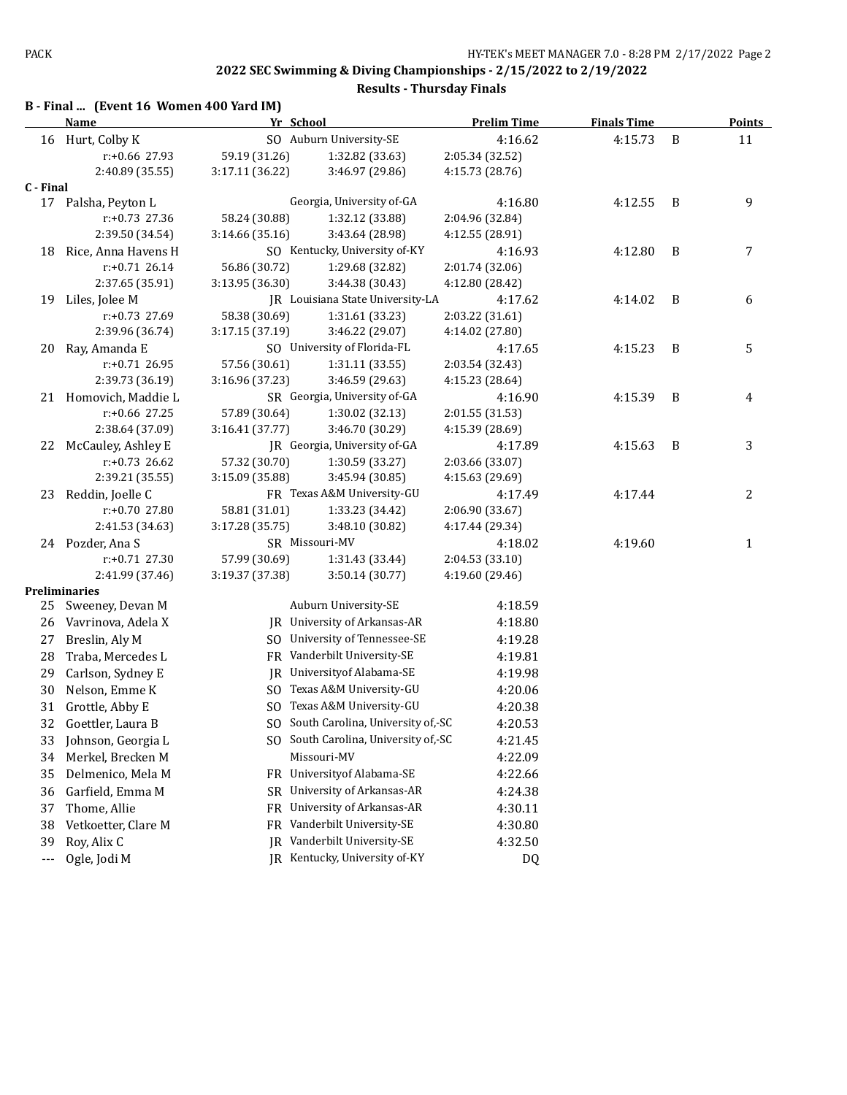|  |  | B - Final  (Event 16 Women 400 Yard IM) |  |
|--|--|-----------------------------------------|--|
|--|--|-----------------------------------------|--|

|           | <b>Name</b>           | Yr School       |                                      | <b>Prelim Time</b> | <b>Finals Time</b> |   | <b>Points</b> |
|-----------|-----------------------|-----------------|--------------------------------------|--------------------|--------------------|---|---------------|
|           | 16 Hurt, Colby K      |                 | SO Auburn University-SE              | 4:16.62            | 4:15.73            | B | 11            |
|           | r:+0.66 27.93         | 59.19 (31.26)   | 1:32.82 (33.63)                      | 2:05.34 (32.52)    |                    |   |               |
|           | 2:40.89 (35.55)       | 3:17.11 (36.22) | 3:46.97 (29.86)                      | 4:15.73 (28.76)    |                    |   |               |
| C - Final |                       |                 |                                      |                    |                    |   |               |
|           | 17 Palsha, Peyton L   |                 | Georgia, University of-GA            | 4:16.80            | 4:12.55            | B | 9             |
|           | $r: +0.73$ 27.36      | 58.24 (30.88)   | 1:32.12 (33.88)                      | 2:04.96 (32.84)    |                    |   |               |
|           | 2:39.50 (34.54)       | 3:14.66 (35.16) | 3:43.64 (28.98)                      | 4:12.55 (28.91)    |                    |   |               |
| 18        | Rice, Anna Havens H   |                 | SO Kentucky, University of-KY        | 4:16.93            | 4:12.80            | B | 7             |
|           | r:+0.71 26.14         | 56.86 (30.72)   | 1:29.68 (32.82)                      | 2:01.74 (32.06)    |                    |   |               |
|           | 2:37.65 (35.91)       | 3:13.95 (36.30) | 3:44.38 (30.43)                      | 4:12.80 (28.42)    |                    |   |               |
|           | 19 Liles, Jolee M     |                 | JR Louisiana State University-LA     | 4:17.62            | 4:14.02            | B | 6             |
|           | r:+0.73 27.69         | 58.38 (30.69)   | 1:31.61 (33.23)                      | 2:03.22 (31.61)    |                    |   |               |
|           | 2:39.96 (36.74)       | 3:17.15 (37.19) | 3:46.22 (29.07)                      | 4:14.02 (27.80)    |                    |   |               |
| 20        | Ray, Amanda E         |                 | SO University of Florida-FL          | 4:17.65            | 4:15.23            | B | 5             |
|           | r:+0.71 26.95         | 57.56 (30.61)   | 1:31.11 (33.55)                      | 2:03.54 (32.43)    |                    |   |               |
|           | 2:39.73 (36.19)       | 3:16.96 (37.23) | 3:46.59 (29.63)                      | 4:15.23 (28.64)    |                    |   |               |
|           | 21 Homovich, Maddie L |                 | SR Georgia, University of-GA         | 4:16.90            | 4:15.39            | B | 4             |
|           | r:+0.66 27.25         | 57.89 (30.64)   | 1:30.02 (32.13)                      | 2:01.55 (31.53)    |                    |   |               |
|           | 2:38.64 (37.09)       | 3:16.41 (37.77) | 3:46.70 (30.29)                      | 4:15.39 (28.69)    |                    |   |               |
| 22        | McCauley, Ashley E    |                 | JR Georgia, University of-GA         | 4:17.89            | 4:15.63            | B | 3             |
|           | $r: +0.73$ 26.62      | 57.32 (30.70)   | 1:30.59 (33.27)                      | 2:03.66 (33.07)    |                    |   |               |
|           | 2:39.21 (35.55)       | 3:15.09 (35.88) | 3:45.94 (30.85)                      | 4:15.63 (29.69)    |                    |   |               |
| 23        | Reddin, Joelle C      |                 | FR Texas A&M University-GU           | 4:17.49            | 4:17.44            |   | 2             |
|           | r:+0.70 27.80         | 58.81 (31.01)   | 1:33.23 (34.42)                      | 2:06.90 (33.67)    |                    |   |               |
|           | 2:41.53 (34.63)       | 3:17.28 (35.75) | 3:48.10 (30.82)                      | 4:17.44 (29.34)    |                    |   |               |
|           | 24 Pozder, Ana S      |                 | SR Missouri-MV                       | 4:18.02            | 4:19.60            |   | 1             |
|           | r:+0.71 27.30         | 57.99 (30.69)   | 1:31.43 (33.44)                      | 2:04.53 (33.10)    |                    |   |               |
|           | 2:41.99 (37.46)       | 3:19.37 (37.38) | 3:50.14 (30.77)                      | 4:19.60 (29.46)    |                    |   |               |
|           | Preliminaries         |                 |                                      |                    |                    |   |               |
| 25        | Sweeney, Devan M      |                 | Auburn University-SE                 | 4:18.59            |                    |   |               |
| 26        | Vavrinova, Adela X    |                 | JR University of Arkansas-AR         | 4:18.80            |                    |   |               |
| 27        | Breslin, Aly M        |                 | SO University of Tennessee-SE        | 4:19.28            |                    |   |               |
| 28        | Traba, Mercedes L     |                 | FR Vanderbilt University-SE          | 4:19.81            |                    |   |               |
| 29        | Carlson, Sydney E     |                 | JR University of Alabama-SE          | 4:19.98            |                    |   |               |
| 30        | Nelson, Emme K        |                 | SO Texas A&M University-GU           | 4:20.06            |                    |   |               |
| 31        | Grottle, Abby E       |                 | SO Texas A&M University-GU           | 4:20.38            |                    |   |               |
| 32        | Goettler, Laura B     |                 | SO South Carolina, University of,-SC | 4:20.53            |                    |   |               |
|           | 33 Johnson, Georgia L |                 | SO South Carolina, University of,-SC | 4:21.45            |                    |   |               |
| 34        | Merkel, Brecken M     |                 | Missouri-MV                          | 4:22.09            |                    |   |               |
| 35        | Delmenico, Mela M     |                 | FR University of Alabama-SE          | 4:22.66            |                    |   |               |
| 36        | Garfield, Emma M      | <b>SR</b>       | University of Arkansas-AR            | 4:24.38            |                    |   |               |
| 37        | Thome, Allie          | FR              | University of Arkansas-AR            | 4:30.11            |                    |   |               |
| 38        | Vetkoetter, Clare M   | FR              | Vanderbilt University-SE             | 4:30.80            |                    |   |               |
| 39        | Roy, Alix C           | IR              | Vanderbilt University-SE             | 4:32.50            |                    |   |               |
| $---$     | Ogle, Jodi M          |                 | JR Kentucky, University of-KY        | DQ                 |                    |   |               |
|           |                       |                 |                                      |                    |                    |   |               |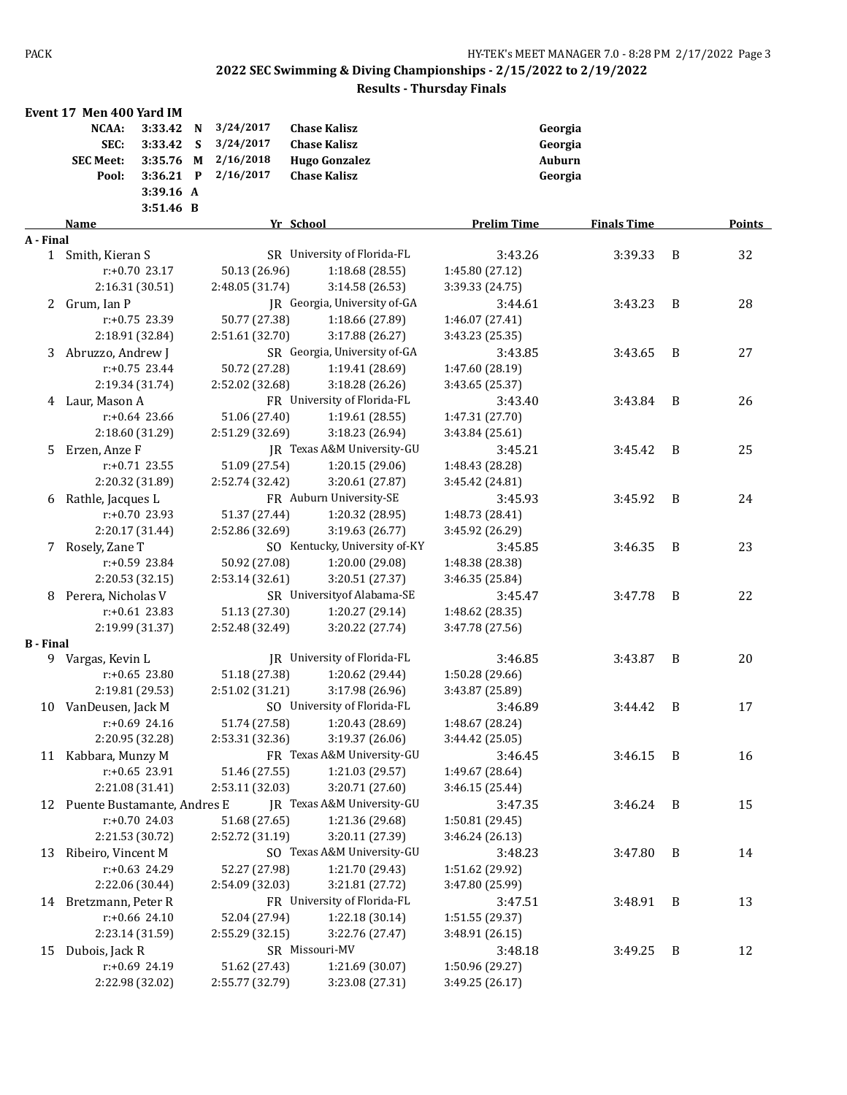|                  | Event 17 Men 400 Yard IM       |           |              |                 |                               |                    |                    |                |        |
|------------------|--------------------------------|-----------|--------------|-----------------|-------------------------------|--------------------|--------------------|----------------|--------|
|                  | NCAA:                          | 3:33.42   | N            | 3/24/2017       | <b>Chase Kalisz</b>           |                    | Georgia            |                |        |
|                  | SEC:                           | 3:33.42   | S            | 3/24/2017       | <b>Chase Kalisz</b>           |                    | Georgia            |                |        |
|                  | <b>SEC Meet:</b>               | 3:35.76   | M            | 2/16/2018       | <b>Hugo Gonzalez</b>          |                    | Auburn             |                |        |
|                  | Pool:                          | 3:36.21   | $\mathbf{P}$ | 2/16/2017       | <b>Chase Kalisz</b>           |                    | Georgia            |                |        |
|                  |                                | 3:39.16 A |              |                 |                               |                    |                    |                |        |
|                  |                                | 3:51.46 B |              |                 |                               |                    |                    |                |        |
|                  | Name                           |           |              |                 | Yr School                     | <b>Prelim Time</b> | <b>Finals Time</b> |                | Points |
| A - Final        |                                |           |              |                 |                               |                    |                    |                |        |
| 1                | Smith, Kieran S                |           |              |                 | SR University of Florida-FL   | 3:43.26            | 3:39.33            | B              | 32     |
|                  | $r: +0.70$ 23.17               |           |              | 50.13 (26.96)   | 1:18.68 (28.55)               | 1:45.80 (27.12)    |                    |                |        |
|                  | 2:16.31 (30.51)                |           |              | 2:48.05 (31.74) | 3:14.58 (26.53)               | 3:39.33 (24.75)    |                    |                |        |
| 2                | Grum, Ian P                    |           |              |                 | JR Georgia, University of-GA  | 3:44.61            | 3:43.23            | B              | 28     |
|                  | r:+0.75 23.39                  |           |              | 50.77 (27.38)   | 1:18.66 (27.89)               | 1:46.07 (27.41)    |                    |                |        |
|                  | 2:18.91 (32.84)                |           |              | 2:51.61 (32.70) | 3:17.88 (26.27)               | 3:43.23 (25.35)    |                    |                |        |
|                  | 3 Abruzzo, Andrew J            |           |              |                 | SR Georgia, University of-GA  | 3:43.85            | 3:43.65            | B              | 27     |
|                  | r:+0.75 23.44                  |           |              | 50.72 (27.28)   | 1:19.41 (28.69)               | 1:47.60 (28.19)    |                    |                |        |
|                  | 2:19.34 (31.74)                |           |              | 2:52.02 (32.68) | 3:18.28 (26.26)               | 3:43.65 (25.37)    |                    |                |        |
|                  | 4 Laur, Mason A                |           |              |                 | FR University of Florida-FL   | 3:43.40            | 3:43.84            | B              | 26     |
|                  | $r: +0.64$ 23.66               |           |              | 51.06 (27.40)   | 1:19.61(28.55)                | 1:47.31 (27.70)    |                    |                |        |
|                  | 2:18.60 (31.29)                |           |              | 2:51.29 (32.69) | 3:18.23 (26.94)               | 3:43.84 (25.61)    |                    |                |        |
| 5.               | Erzen, Anze F                  |           |              |                 | JR Texas A&M University-GU    | 3:45.21            | 3:45.42            | B              | 25     |
|                  | $r: +0.71$ 23.55               |           |              | 51.09 (27.54)   | 1:20.15 (29.06)               | 1:48.43 (28.28)    |                    |                |        |
|                  | 2:20.32 (31.89)                |           |              | 2:52.74 (32.42) | 3:20.61 (27.87)               | 3:45.42 (24.81)    |                    |                |        |
| 6                | Rathle, Jacques L              |           |              |                 | FR Auburn University-SE       | 3:45.93            | 3:45.92            | B              | 24     |
|                  | $r: +0.70$ 23.93               |           |              | 51.37 (27.44)   | 1:20.32 (28.95)               | 1:48.73 (28.41)    |                    |                |        |
|                  | 2:20.17 (31.44)                |           |              | 2:52.86 (32.69) | 3:19.63 (26.77)               | 3:45.92 (26.29)    |                    |                |        |
| 7                | Rosely, Zane T                 |           |              |                 | SO Kentucky, University of-KY | 3:45.85            | 3:46.35            | B              | 23     |
|                  | r:+0.59 23.84                  |           |              | 50.92 (27.08)   | 1:20.00 (29.08)               | 1:48.38 (28.38)    |                    |                |        |
|                  | 2:20.53 (32.15)                |           |              | 2:53.14 (32.61) | 3:20.51 (27.37)               | 3:46.35 (25.84)    |                    |                |        |
| 8                | Perera, Nicholas V             |           |              |                 | SR University of Alabama-SE   | 3:45.47            | 3:47.78            | B              | 22     |
|                  | $r: +0.61$ 23.83               |           |              | 51.13 (27.30)   | 1:20.27 (29.14)               | 1:48.62 (28.35)    |                    |                |        |
|                  | 2:19.99 (31.37)                |           |              | 2:52.48 (32.49) | 3:20.22 (27.74)               | 3:47.78 (27.56)    |                    |                |        |
| <b>B</b> - Final |                                |           |              |                 |                               |                    |                    |                |        |
|                  | 9 Vargas, Kevin L              |           |              |                 | IR University of Florida-FL   | 3:46.85            | 3:43.87            | B              | 20     |
|                  | $r: +0.65$ 23.80               |           |              | 51.18 (27.38)   | 1:20.62 (29.44)               | 1:50.28 (29.66)    |                    |                |        |
|                  | 2:19.81 (29.53)                |           |              | 2:51.02 (31.21) | 3:17.98 (26.96)               | 3:43.87 (25.89)    |                    |                |        |
| 10               | VanDeusen, Jack M              |           |              |                 | SO University of Florida-FL   | 3:46.89            | 3:44.42            | B              | 17     |
|                  | $r: +0.69$ 24.16               |           |              | 51.74 (27.58)   | 1:20.43 (28.69)               | 1:48.67 (28.24)    |                    |                |        |
|                  | 2:20.95 (32.28)                |           |              | 2:53.31 (32.36) | 3:19.37 (26.06)               | 3:44.42 (25.05)    |                    |                |        |
|                  | 11 Kabbara, Munzy M            |           |              |                 | FR Texas A&M University-GU    | 3:46.45            | 3:46.15            | B              | 16     |
|                  | $r: +0.65$ 23.91               |           |              | 51.46 (27.55)   | 1:21.03 (29.57)               | 1:49.67 (28.64)    |                    |                |        |
|                  | 2:21.08 (31.41)                |           |              | 2:53.11 (32.03) | 3:20.71 (27.60)               | 3:46.15 (25.44)    |                    |                |        |
|                  | 12 Puente Bustamante, Andres E |           |              |                 | JR Texas A&M University-GU    | 3:47.35            | 3:46.24 B          |                | 15     |
|                  | r:+0.70 24.03                  |           |              | 51.68 (27.65)   | 1:21.36 (29.68)               | 1:50.81 (29.45)    |                    |                |        |
|                  | 2:21.53 (30.72)                |           |              | 2:52.72 (31.19) | 3:20.11 (27.39)               | 3:46.24 (26.13)    |                    |                |        |
| 13               | Ribeiro, Vincent M             |           |              |                 | SO Texas A&M University-GU    | 3:48.23            | 3:47.80            | B              | 14     |
|                  | r:+0.63 24.29                  |           |              | 52.27 (27.98)   | 1:21.70 (29.43)               | 1:51.62 (29.92)    |                    |                |        |
|                  | 2:22.06 (30.44)                |           |              | 2:54.09 (32.03) | 3:21.81 (27.72)               | 3:47.80 (25.99)    |                    |                |        |
| 14               | Bretzmann, Peter R             |           |              |                 | FR University of Florida-FL   | 3:47.51            | 3:48.91            | $\overline{B}$ | 13     |
|                  | r:+0.66 24.10                  |           |              | 52.04 (27.94)   | 1:22.18 (30.14)               | 1:51.55 (29.37)    |                    |                |        |
|                  | 2:23.14 (31.59)                |           |              | 2:55.29 (32.15) | 3:22.76 (27.47)               | 3:48.91 (26.15)    |                    |                |        |
| 15               | Dubois, Jack R                 |           |              |                 | SR Missouri-MV                | 3:48.18            | 3:49.25            | $\overline{B}$ | 12     |
|                  | r:+0.69 24.19                  |           |              | 51.62 (27.43)   | 1:21.69 (30.07)               | 1:50.96 (29.27)    |                    |                |        |
|                  | 2:22.98 (32.02)                |           |              | 2:55.77 (32.79) | 3:23.08 (27.31)               | 3:49.25 (26.17)    |                    |                |        |
|                  |                                |           |              |                 |                               |                    |                    |                |        |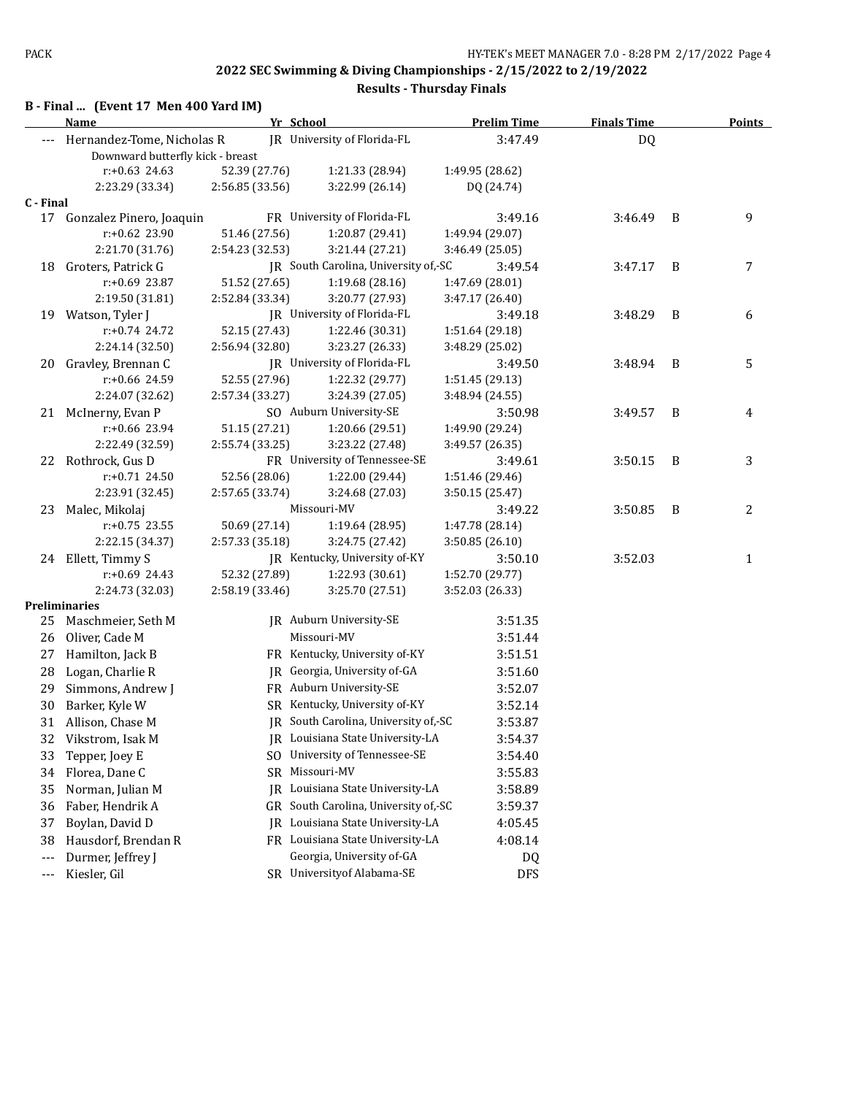|  |  | B - Final  (Event 17 Men 400 Yard IM) |
|--|--|---------------------------------------|
|--|--|---------------------------------------|

|           | <b>Name</b>                      | Yr School       |                                      | <b>Prelim Time</b> | <b>Finals Time</b> |   | <b>Points</b> |
|-----------|----------------------------------|-----------------|--------------------------------------|--------------------|--------------------|---|---------------|
|           | Hernandez-Tome, Nicholas R       |                 | JR University of Florida-FL          | 3:47.49            | DQ                 |   |               |
|           | Downward butterfly kick - breast |                 |                                      |                    |                    |   |               |
|           | $r: +0.63$ 24.63                 | 52.39 (27.76)   | 1:21.33 (28.94)                      | 1:49.95 (28.62)    |                    |   |               |
|           | 2:23.29 (33.34)                  | 2:56.85 (33.56) | 3:22.99 (26.14)                      | DQ (24.74)         |                    |   |               |
| C - Final |                                  |                 |                                      |                    |                    |   |               |
|           | 17 Gonzalez Pinero, Joaquin      |                 | FR University of Florida-FL          | 3:49.16            | 3:46.49            | B | 9             |
|           | r:+0.62 23.90                    | 51.46 (27.56)   | 1:20.87 (29.41)                      | 1:49.94 (29.07)    |                    |   |               |
|           | 2:21.70 (31.76)                  | 2:54.23 (32.53) | 3:21.44 (27.21)                      | 3:46.49 (25.05)    |                    |   |               |
| 18        | Groters, Patrick G               |                 | JR South Carolina, University of,-SC | 3:49.54            | 3:47.17            | B | 7             |
|           | r:+0.69 23.87                    | 51.52 (27.65)   | 1:19.68(28.16)                       | 1:47.69 (28.01)    |                    |   |               |
|           | 2:19.50 (31.81)                  | 2:52.84 (33.34) | 3:20.77 (27.93)                      | 3:47.17 (26.40)    |                    |   |               |
| 19        | Watson, Tyler J                  |                 | JR University of Florida-FL          | 3:49.18            | 3:48.29            | B | 6             |
|           | $r: +0.74$ 24.72                 | 52.15 (27.43)   | 1:22.46 (30.31)                      | 1:51.64 (29.18)    |                    |   |               |
|           | 2:24.14 (32.50)                  | 2:56.94 (32.80) | 3:23.27 (26.33)                      | 3:48.29 (25.02)    |                    |   |               |
| 20        | Gravley, Brennan C               |                 | JR University of Florida-FL          | 3:49.50            | 3:48.94            | B | 5             |
|           | r:+0.66 24.59                    | 52.55 (27.96)   | 1:22.32 (29.77)                      | 1:51.45 (29.13)    |                    |   |               |
|           | 2:24.07 (32.62)                  | 2:57.34 (33.27) | 3:24.39 (27.05)                      | 3:48.94 (24.55)    |                    |   |               |
|           | 21 McInerny, Evan P              |                 | SO Auburn University-SE              | 3:50.98            | 3:49.57            | B | 4             |
|           | $r: +0.66$ 23.94                 | 51.15 (27.21)   | 1:20.66 (29.51)                      | 1:49.90 (29.24)    |                    |   |               |
|           | 2:22.49 (32.59)                  | 2:55.74 (33.25) | 3:23.22 (27.48)                      | 3:49.57 (26.35)    |                    |   |               |
|           | 22 Rothrock, Gus D               |                 | FR University of Tennessee-SE        | 3:49.61            | 3:50.15            | B | 3             |
|           | r:+0.71 24.50                    | 52.56 (28.06)   | 1:22.00 (29.44)                      | 1:51.46 (29.46)    |                    |   |               |
|           | 2:23.91 (32.45)                  | 2:57.65 (33.74) | 3:24.68 (27.03)                      | 3:50.15 (25.47)    |                    |   |               |
|           | 23 Malec, Mikolaj                |                 | Missouri-MV                          | 3:49.22            | 3:50.85            | B | 2             |
|           | $r: +0.75$ 23.55                 | 50.69 (27.14)   | 1:19.64 (28.95)                      | 1:47.78 (28.14)    |                    |   |               |
|           | 2:22.15 (34.37)                  | 2:57.33 (35.18) | 3:24.75 (27.42)                      | 3:50.85 (26.10)    |                    |   |               |
|           | 24 Ellett, Timmy S               |                 | JR Kentucky, University of-KY        | 3:50.10            | 3:52.03            |   | 1             |
|           | r:+0.69 24.43                    | 52.32 (27.89)   | 1:22.93 (30.61)                      | 1:52.70 (29.77)    |                    |   |               |
|           | 2:24.73 (32.03)                  | 2:58.19 (33.46) | 3:25.70 (27.51)                      | 3:52.03 (26.33)    |                    |   |               |
|           | <b>Preliminaries</b>             |                 |                                      |                    |                    |   |               |
| 25        | Maschmeier, Seth M               |                 | JR Auburn University-SE              | 3:51.35            |                    |   |               |
| 26        | Oliver, Cade M                   |                 | Missouri-MV                          | 3:51.44            |                    |   |               |
| 27        | Hamilton, Jack B                 |                 | FR Kentucky, University of-KY        | 3:51.51            |                    |   |               |
| 28        | Logan, Charlie R                 |                 | JR Georgia, University of-GA         | 3:51.60            |                    |   |               |
| 29        | Simmons, Andrew J                |                 | FR Auburn University-SE              | 3:52.07            |                    |   |               |
| 30        | Barker, Kyle W                   |                 | SR Kentucky, University of-KY        | 3:52.14            |                    |   |               |
|           | 31 Allison, Chase M              |                 | JR South Carolina, University of,-SC | 3:53.87            |                    |   |               |
|           | 32 Vikstrom, Isak M              |                 | JR Louisiana State University-LA     | 3:54.37            |                    |   |               |
| 33        | Tepper, Joey E                   |                 | SO University of Tennessee-SE        | 3:54.40            |                    |   |               |
| 34        |                                  | SR              | Missouri-MV                          |                    |                    |   |               |
|           | Florea, Dane C                   |                 | Louisiana State University-LA        | 3:55.83            |                    |   |               |
| 35        | Norman, Julian M                 | IR              |                                      | 3:58.89            |                    |   |               |
| 36        | Faber, Hendrik A                 | GR              | South Carolina, University of,-SC    | 3:59.37            |                    |   |               |
| 37        | Boylan, David D                  | IR              | Louisiana State University-LA        | 4:05.45            |                    |   |               |
| 38        | Hausdorf, Brendan R              |                 | FR Louisiana State University-LA     | 4:08.14            |                    |   |               |
| $---$     | Durmer, Jeffrey J                |                 | Georgia, University of-GA            | DQ                 |                    |   |               |
| ---       | Kiesler, Gil                     |                 | SR University of Alabama-SE          | <b>DFS</b>         |                    |   |               |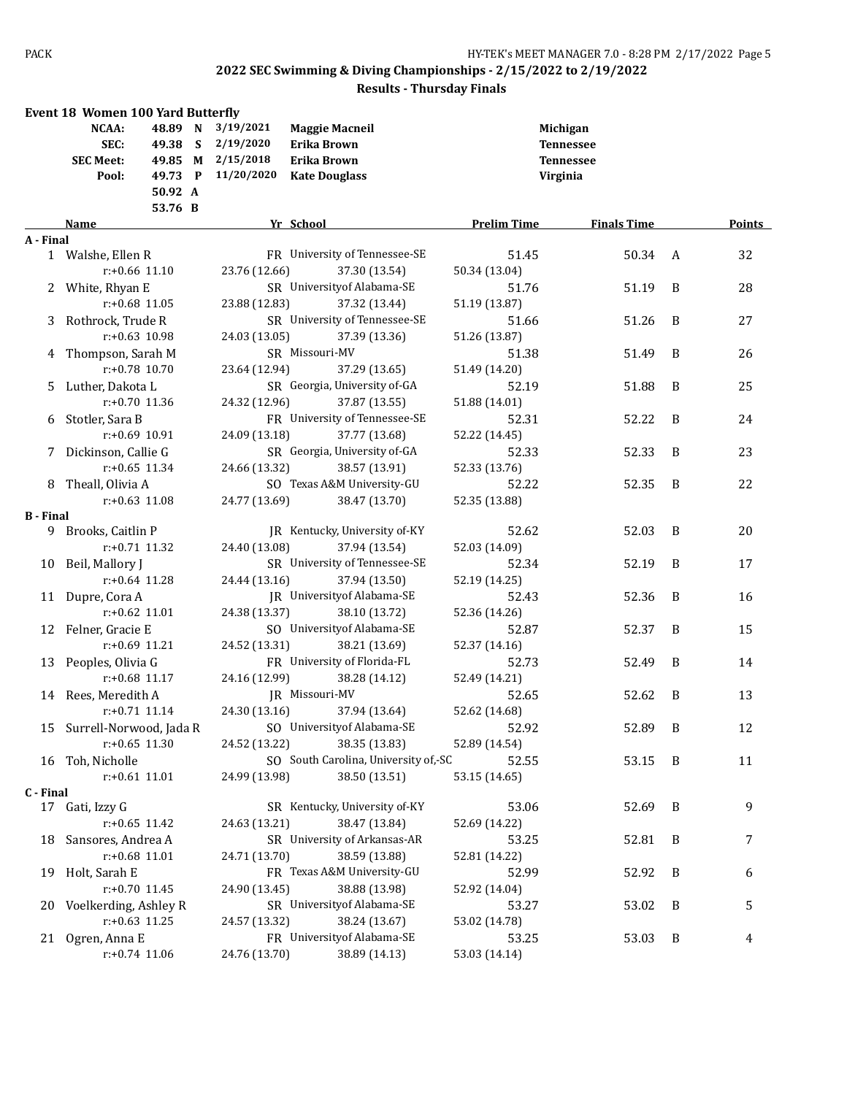|                  | <b>Event 18 Women 100 Yard Butterfly</b> |  |               |                                      |                    |                    |                |        |
|------------------|------------------------------------------|--|---------------|--------------------------------------|--------------------|--------------------|----------------|--------|
|                  | NCAA:<br>48.89 N                         |  | 3/19/2021     | <b>Maggie Macneil</b>                | Michigan           |                    |                |        |
| SEC:<br>49.38 S  |                                          |  | 2/19/2020     | Erika Brown                          |                    | <b>Tennessee</b>   |                |        |
|                  | 49.85 M<br><b>SEC Meet:</b>              |  | 2/15/2018     | Erika Brown                          |                    | <b>Tennessee</b>   |                |        |
|                  | 49.73 P<br>Pool:                         |  | 11/20/2020    | <b>Kate Douglass</b>                 | Virginia           |                    |                |        |
|                  | 50.92 A                                  |  |               |                                      |                    |                    |                |        |
|                  | 53.76 B                                  |  |               |                                      |                    |                    |                |        |
|                  | Name                                     |  |               | Yr School                            | <b>Prelim Time</b> | <b>Finals Time</b> |                | Points |
| A - Final        |                                          |  |               |                                      |                    |                    |                |        |
|                  | 1 Walshe, Ellen R                        |  |               | FR University of Tennessee-SE        | 51.45              | 50.34              | A              | 32     |
|                  | $r: +0.66$ 11.10                         |  | 23.76 (12.66) | 37.30 (13.54)                        | 50.34 (13.04)      |                    |                |        |
|                  | 2 White, Rhyan E                         |  |               | SR University of Alabama-SE          | 51.76              | 51.19              | B              | 28     |
|                  | $r: +0.68$ 11.05                         |  | 23.88 (12.83) | 37.32 (13.44)                        | 51.19 (13.87)      |                    |                |        |
| 3                | Rothrock, Trude R                        |  |               | SR University of Tennessee-SE        | 51.66              | 51.26              | B              | 27     |
|                  | $r: +0.63$ 10.98                         |  | 24.03 (13.05) | 37.39 (13.36)                        | 51.26 (13.87)      |                    |                |        |
|                  | 4 Thompson, Sarah M                      |  |               | SR Missouri-MV                       | 51.38              | 51.49              | B              | 26     |
|                  | $r: +0.78$ 10.70                         |  | 23.64 (12.94) | 37.29 (13.65)                        | 51.49 (14.20)      |                    |                |        |
|                  | 5 Luther, Dakota L                       |  |               | SR Georgia, University of-GA         | 52.19              | 51.88              | B              | 25     |
|                  | r:+0.70 11.36                            |  | 24.32 (12.96) | 37.87 (13.55)                        | 51.88 (14.01)      |                    |                |        |
| 6                | Stotler, Sara B                          |  |               | FR University of Tennessee-SE        | 52.31              | 52.22              | B              | 24     |
|                  | r:+0.69 10.91                            |  | 24.09 (13.18) | 37.77 (13.68)                        | 52.22 (14.45)      |                    |                |        |
| 7                | Dickinson, Callie G                      |  |               | SR Georgia, University of-GA         | 52.33              | 52.33              | B              | 23     |
|                  | $r: +0.65$ 11.34                         |  | 24.66 (13.32) | 38.57 (13.91)                        | 52.33 (13.76)      |                    |                |        |
|                  | 8 Theall, Olivia A                       |  |               | SO Texas A&M University-GU           | 52.22              | 52.35              | B              | 22     |
|                  | $r: +0.63$ 11.08                         |  | 24.77 (13.69) | 38.47 (13.70)                        | 52.35 (13.88)      |                    |                |        |
| <b>B</b> - Final |                                          |  |               |                                      |                    |                    |                |        |
|                  | 9 Brooks, Caitlin P                      |  |               | JR Kentucky, University of-KY        | 52.62              | 52.03              | B              | 20     |
|                  | r:+0.71 11.32                            |  | 24.40 (13.08) | 37.94 (13.54)                        | 52.03 (14.09)      |                    |                |        |
|                  | 10 Beil, Mallory J                       |  |               | SR University of Tennessee-SE        | 52.34              | 52.19              | B              | 17     |
|                  | $r: +0.64$ 11.28                         |  | 24.44 (13.16) | 37.94 (13.50)                        | 52.19 (14.25)      |                    |                |        |
|                  | 11 Dupre, Cora A                         |  |               | JR University of Alabama-SE          | 52.43              | 52.36              | B              | 16     |
|                  | $r: +0.62$ 11.01                         |  | 24.38 (13.37) | 38.10 (13.72)                        | 52.36 (14.26)      |                    |                |        |
|                  | 12 Felner, Gracie E                      |  |               | SO University of Alabama-SE          | 52.87              | 52.37              | B              | 15     |
|                  | r:+0.69 11.21                            |  | 24.52 (13.31) | 38.21 (13.69)                        | 52.37 (14.16)      |                    |                |        |
|                  | 13 Peoples, Olivia G                     |  |               | FR University of Florida-FL          | 52.73              | 52.49              | B              | 14     |
|                  | $r: +0.68$ 11.17                         |  | 24.16 (12.99) | 38.28 (14.12)                        | 52.49 (14.21)      |                    |                |        |
|                  | 14 Rees, Meredith A                      |  |               | JR Missouri-MV                       | 52.65              | 52.62              | B              | 13     |
|                  | $r: +0.71$ 11.14                         |  | 24.30 (13.16) | 37.94 (13.64)                        | 52.62 (14.68)      |                    |                |        |
|                  | 15 Surrell-Norwood, Jada R               |  |               | SO University of Alabama-SE          | 52.92              | 52.89              | $\overline{B}$ | 12     |
|                  | $r: +0.65$ 11.30                         |  | 24.52 (13.22) | 38.35 (13.83)                        | 52.89 (14.54)      |                    |                |        |
|                  | 16 Toh, Nicholle                         |  |               | SO South Carolina, University of,-SC | 52.55              | 53.15              | $\overline{B}$ | 11     |
|                  | $r: +0.61$ 11.01                         |  | 24.99 (13.98) | 38.50 (13.51)                        | 53.15 (14.65)      |                    |                |        |
| C - Final        |                                          |  |               |                                      |                    |                    |                |        |
|                  | 17 Gati, Izzy G                          |  |               | SR Kentucky, University of-KY        | 53.06              | 52.69              | B              | 9      |
|                  | $r: +0.65$ 11.42                         |  | 24.63 (13.21) | 38.47 (13.84)                        | 52.69 (14.22)      |                    |                |        |
| 18               | Sansores, Andrea A                       |  |               | SR University of Arkansas-AR         | 53.25              | 52.81              | B              | 7      |
|                  | r:+0.68 11.01                            |  | 24.71 (13.70) | 38.59 (13.88)                        | 52.81 (14.22)      |                    |                |        |
| 19               | Holt, Sarah E                            |  |               | FR Texas A&M University-GU           | 52.99              | 52.92              | B              | 6      |
|                  | $r: +0.70$ 11.45                         |  | 24.90 (13.45) | 38.88 (13.98)                        | 52.92 (14.04)      |                    |                |        |
| 20               | Voelkerding, Ashley R                    |  |               | SR University of Alabama-SE          | 53.27              | 53.02              | B              | 5      |
|                  | $r: +0.63$ 11.25                         |  | 24.57 (13.32) | 38.24 (13.67)                        | 53.02 (14.78)      |                    |                |        |
|                  | 21 Ogren, Anna E                         |  |               | FR University of Alabama-SE          | 53.25              | 53.03              | B              | 4      |
|                  | $r: +0.74$ 11.06                         |  | 24.76 (13.70) | 38.89 (14.13)                        | 53.03 (14.14)      |                    |                |        |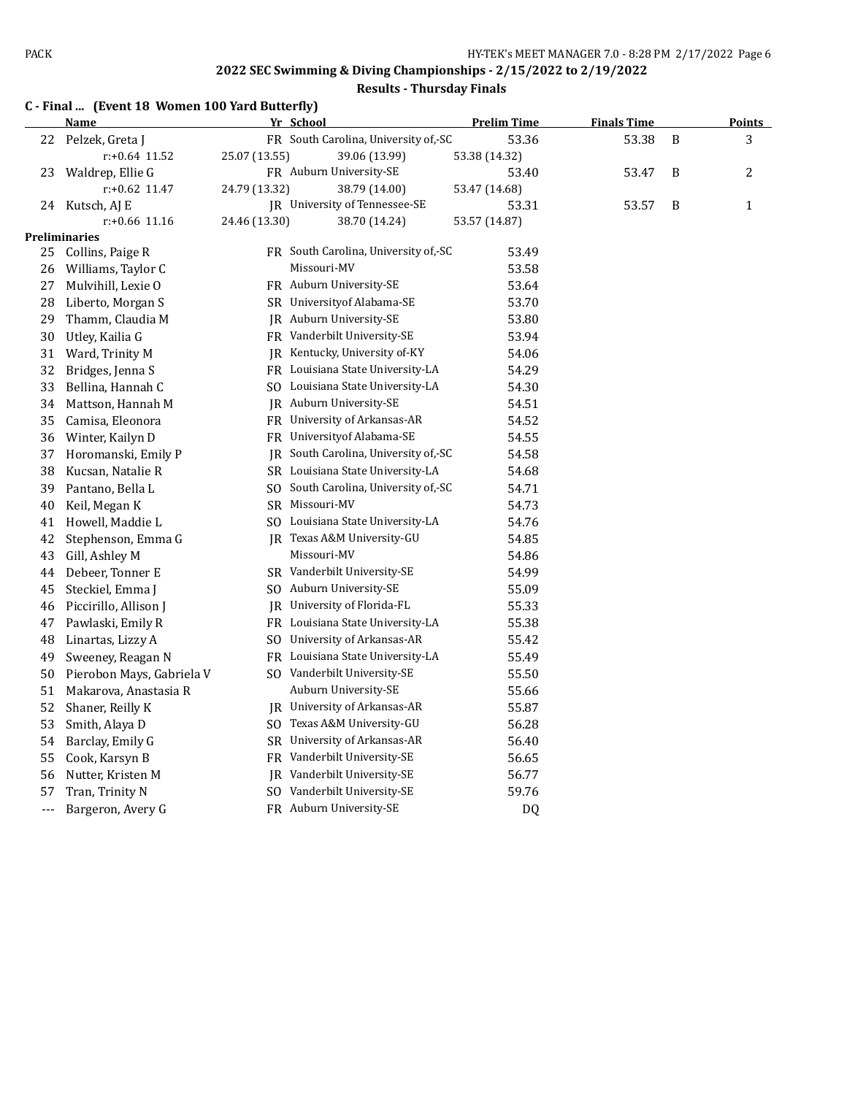|  |  | C - Final  (Event 18 Women 100 Yard Butterfly) |
|--|--|------------------------------------------------|
|--|--|------------------------------------------------|

|     | <b>Name</b>               |               | Yr School                            | <b>Prelim Time</b> | <b>Finals Time</b> |   | <b>Points</b> |
|-----|---------------------------|---------------|--------------------------------------|--------------------|--------------------|---|---------------|
| 22  | Pelzek, Greta J           |               | FR South Carolina, University of, SC | 53.36              | 53.38              | B | 3             |
|     | $r: +0.64$ 11.52          | 25.07 (13.55) | 39.06 (13.99)                        | 53.38 (14.32)      |                    |   |               |
| 23  | Waldrep, Ellie G          |               | FR Auburn University-SE              | 53.40              | 53.47              | B | 2             |
|     | $r$ :+0.62 11.47          | 24.79 (13.32) | 38.79 (14.00)                        | 53.47 (14.68)      |                    |   |               |
| 24  | Kutsch, AJ E              |               | JR University of Tennessee-SE        | 53.31              | 53.57              | B | $\mathbf{1}$  |
|     | $r: +0.66$ 11.16          | 24.46 (13.30) | 38.70 (14.24)                        | 53.57 (14.87)      |                    |   |               |
|     | Preliminaries             |               |                                      |                    |                    |   |               |
| 25  | Collins, Paige R          |               | FR South Carolina, University of, SC | 53.49              |                    |   |               |
| 26  | Williams, Taylor C        |               | Missouri-MV                          | 53.58              |                    |   |               |
| 27  | Mulvihill, Lexie O        |               | FR Auburn University-SE              | 53.64              |                    |   |               |
| 28  | Liberto, Morgan S         |               | SR University of Alabama-SE          | 53.70              |                    |   |               |
| 29  | Thamm, Claudia M          |               | JR Auburn University-SE              | 53.80              |                    |   |               |
| 30  | Utley, Kailia G           |               | FR Vanderbilt University-SE          | 53.94              |                    |   |               |
| 31  | Ward, Trinity M           |               | JR Kentucky, University of-KY        | 54.06              |                    |   |               |
| 32  | Bridges, Jenna S          |               | FR Louisiana State University-LA     | 54.29              |                    |   |               |
| 33  | Bellina, Hannah C         |               | SO Louisiana State University-LA     | 54.30              |                    |   |               |
| 34  | Mattson, Hannah M         |               | IR Auburn University-SE              | 54.51              |                    |   |               |
| 35  | Camisa, Eleonora          |               | FR University of Arkansas-AR         | 54.52              |                    |   |               |
| 36  | Winter, Kailyn D          |               | FR University of Alabama-SE          | 54.55              |                    |   |               |
| 37  | Horomanski, Emily P       | JR.           | South Carolina, University of, SC    | 54.58              |                    |   |               |
| 38  | Kucsan, Natalie R         |               | SR Louisiana State University-LA     | 54.68              |                    |   |               |
| 39  | Pantano, Bella L          |               | SO South Carolina, University of,-SC | 54.71              |                    |   |               |
| 40  | Keil, Megan K             |               | SR Missouri-MV                       | 54.73              |                    |   |               |
| 41  | Howell, Maddie L          |               | SO Louisiana State University-LA     | 54.76              |                    |   |               |
| 42  | Stephenson, Emma G        |               | IR Texas A&M University-GU           | 54.85              |                    |   |               |
| 43  | Gill, Ashley M            |               | Missouri-MV                          | 54.86              |                    |   |               |
| 44  | Debeer, Tonner E          |               | SR Vanderbilt University-SE          | 54.99              |                    |   |               |
| 45  | Steckiel, Emma J          |               | SO Auburn University-SE              | 55.09              |                    |   |               |
| 46  | Piccirillo, Allison J     |               | JR University of Florida-FL          | 55.33              |                    |   |               |
| 47  | Pawlaski, Emily R         |               | FR Louisiana State University-LA     | 55.38              |                    |   |               |
| 48  | Linartas, Lizzy A         |               | SO University of Arkansas-AR         | 55.42              |                    |   |               |
| 49  | Sweeney, Reagan N         |               | FR Louisiana State University-LA     | 55.49              |                    |   |               |
| 50  | Pierobon Mays, Gabriela V |               | SO Vanderbilt University-SE          | 55.50              |                    |   |               |
| 51  | Makarova, Anastasia R     |               | Auburn University-SE                 | 55.66              |                    |   |               |
| 52  | Shaner, Reilly K          |               | JR University of Arkansas-AR         | 55.87              |                    |   |               |
| 53  | Smith, Alaya D            | SO.           | Texas A&M University-GU              | 56.28              |                    |   |               |
| 54  | Barclay, Emily G          |               | SR University of Arkansas-AR         | 56.40              |                    |   |               |
| 55  | Cook, Karsyn B            | FR            | Vanderbilt University-SE             | 56.65              |                    |   |               |
| 56  | Nutter, Kristen M         |               | JR Vanderbilt University-SE          | 56.77              |                    |   |               |
| 57  | Tran, Trinity N           |               | SO Vanderbilt University-SE          | 59.76              |                    |   |               |
| --- | Bargeron, Avery G         |               | FR Auburn University-SE              | D <sub>Q</sub>     |                    |   |               |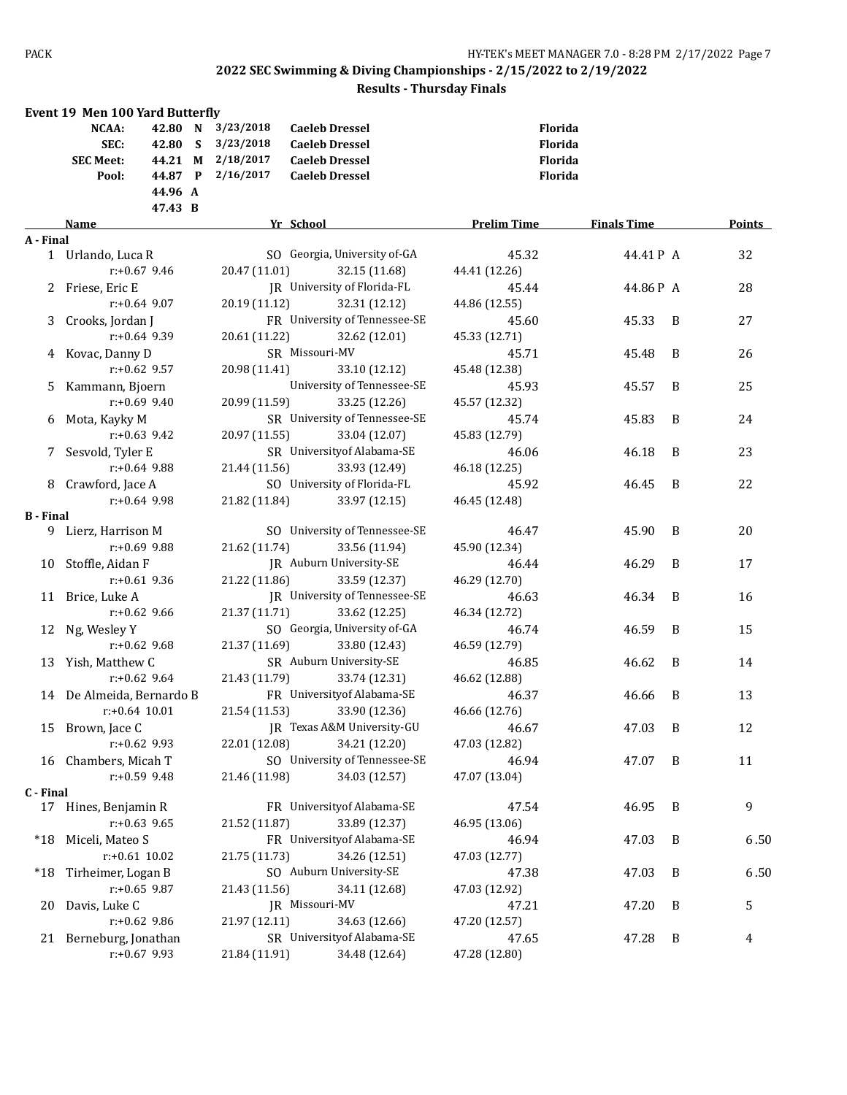|                  | <b>Event 19 Men 100 Yard Butterfly</b> |                   |                                                |                    |                    |   |        |
|------------------|----------------------------------------|-------------------|------------------------------------------------|--------------------|--------------------|---|--------|
|                  | NCAA:                                  | 42.80 N 3/23/2018 | <b>Caeleb Dressel</b>                          | <b>Florida</b>     |                    |   |        |
|                  | SEC:<br>42.80 S                        | 3/23/2018         | <b>Caeleb Dressel</b>                          | Florida            |                    |   |        |
|                  | <b>SEC Meet:</b>                       | 44.21 M 2/18/2017 | <b>Caeleb Dressel</b>                          | Florida            |                    |   |        |
|                  | 44.87 P<br>Pool:                       | 2/16/2017         | <b>Caeleb Dressel</b>                          | Florida            |                    |   |        |
|                  | 44.96 A                                |                   |                                                |                    |                    |   |        |
|                  | 47.43 B                                |                   |                                                |                    |                    |   |        |
|                  | Name                                   | Yr School         |                                                | <b>Prelim Time</b> | <b>Finals Time</b> |   | Points |
| A - Final        |                                        |                   |                                                |                    |                    |   |        |
|                  | 1 Urlando, Luca R                      |                   | SO Georgia, University of-GA<br>32.15 (11.68)  | 45.32              | 44.41P A           |   | 32     |
|                  | $r+0.67$ 9.46                          | 20.47 (11.01)     |                                                | 44.41 (12.26)      |                    |   |        |
|                  | 2 Friese, Eric E<br>$r: +0.64$ 9.07    | 20.19 (11.12)     | JR University of Florida-FL                    | 45.44              | 44.86P A           |   | 28     |
|                  |                                        |                   | 32.31 (12.12)<br>FR University of Tennessee-SE | 44.86 (12.55)      |                    |   |        |
| 3                | Crooks, Jordan J<br>$r: +0.64$ 9.39    |                   |                                                | 45.60              | 45.33              | B | 27     |
|                  |                                        | 20.61 (11.22)     | 32.62 (12.01)<br>SR Missouri-MV                | 45.33 (12.71)      |                    |   |        |
|                  | 4 Kovac, Danny D<br>$r+0.62$ 9.57      |                   |                                                | 45.71              | 45.48              | B | 26     |
|                  |                                        | 20.98 (11.41)     | 33.10 (12.12)                                  | 45.48 (12.38)      |                    |   |        |
|                  | 5 Kammann, Bjoern<br>$r: +0.69$ 9.40   |                   | University of Tennessee-SE                     | 45.93              | 45.57              | B | 25     |
|                  |                                        | 20.99 (11.59)     | 33.25 (12.26)                                  | 45.57 (12.32)      |                    |   |        |
|                  | 6 Mota, Kayky M                        |                   | SR University of Tennessee-SE                  | 45.74              | 45.83              | B | 24     |
|                  | $r+0.63$ 9.42                          | 20.97 (11.55)     | 33.04 (12.07)                                  | 45.83 (12.79)      |                    |   |        |
| 7                | Sesvold, Tyler E<br>$r+0.64$ 9.88      |                   | SR University of Alabama-SE                    | 46.06              | 46.18              | B | 23     |
|                  |                                        | 21.44 (11.56)     | 33.93 (12.49)                                  | 46.18 (12.25)      |                    |   |        |
|                  | 8 Crawford, Jace A<br>$r: +0.64$ 9.98  |                   | SO University of Florida-FL                    | 45.92              | 46.45              | B | 22     |
| <b>B</b> - Final |                                        | 21.82 (11.84)     | 33.97 (12.15)                                  | 46.45 (12.48)      |                    |   |        |
|                  | 9 Lierz, Harrison M                    |                   | SO University of Tennessee-SE                  | 46.47              | 45.90              | B | 20     |
|                  | $r: +0.69$ 9.88                        | 21.62 (11.74)     | 33.56 (11.94)                                  | 45.90 (12.34)      |                    |   |        |
|                  | 10 Stoffle, Aidan F                    |                   | JR Auburn University-SE                        | 46.44              | 46.29              | B | 17     |
|                  | $r: +0.61$ 9.36                        | 21.22 (11.86)     | 33.59 (12.37)                                  | 46.29 (12.70)      |                    |   |        |
|                  | 11 Brice, Luke A                       |                   | <b>IR</b> University of Tennessee-SE           | 46.63              | 46.34              | B | 16     |
|                  | $r: +0.62$ 9.66                        | 21.37 (11.71)     | 33.62 (12.25)                                  | 46.34 (12.72)      |                    |   |        |
|                  | 12 Ng, Wesley Y                        |                   | SO Georgia, University of-GA                   | 46.74              | 46.59              | B | 15     |
|                  | $r: +0.62$ 9.68                        | 21.37 (11.69)     | 33.80 (12.43)                                  | 46.59 (12.79)      |                    |   |        |
|                  | 13 Yish, Matthew C                     |                   | SR Auburn University-SE                        | 46.85              | 46.62              | B | 14     |
|                  | $r: +0.62$ 9.64                        | 21.43 (11.79)     | 33.74 (12.31)                                  | 46.62 (12.88)      |                    |   |        |
|                  | 14 De Almeida, Bernardo B              |                   | FR University of Alabama-SE                    | 46.37              | 46.66              | B | 13     |
|                  | $r: +0.64$ 10.01                       | 21.54 (11.53)     | 33.90 (12.36)                                  | 46.66 (12.76)      |                    |   |        |
|                  | 15 Brown, Jace C                       |                   | JR Texas A&M University-GU                     | 46.67              | 47.03 B            |   | 12     |
|                  | $r: +0.62$ 9.93                        | 22.01 (12.08)     | 34.21 (12.20)                                  | 47.03 (12.82)      |                    |   |        |
|                  | 16 Chambers, Micah T                   |                   | SO University of Tennessee-SE                  | 46.94              | 47.07              | B | 11     |
|                  | $r: +0.59$ 9.48                        | 21.46 (11.98)     | 34.03 (12.57)                                  | 47.07 (13.04)      |                    |   |        |
| C - Final        |                                        |                   |                                                |                    |                    |   |        |
|                  | 17 Hines, Benjamin R                   |                   | FR University of Alabama-SE                    | 47.54              | 46.95              | B | 9      |
|                  | $r: +0.63$ 9.65                        | 21.52 (11.87)     | 33.89 (12.37)                                  | 46.95 (13.06)      |                    |   |        |
|                  | *18 Miceli, Mateo S                    |                   | FR University of Alabama-SE                    | 46.94              | 47.03              | B | 6.50   |
|                  | $r: +0.61$ 10.02                       | 21.75 (11.73)     | 34.26 (12.51)                                  | 47.03 (12.77)      |                    |   |        |
|                  | *18 Tirheimer, Logan B                 |                   | SO Auburn University-SE                        | 47.38              | 47.03              | B | 6.50   |
|                  | $r: +0.65$ 9.87                        | 21.43 (11.56)     | 34.11 (12.68)                                  | 47.03 (12.92)      |                    |   |        |
| 20               | Davis, Luke C                          |                   | JR Missouri-MV                                 | 47.21              | 47.20              | B | 5      |
|                  | $r+0.62$ 9.86                          | 21.97 (12.11)     | 34.63 (12.66)                                  | 47.20 (12.57)      |                    |   |        |
|                  | 21 Berneburg, Jonathan                 |                   | SR University of Alabama-SE                    | 47.65              | 47.28              | B | 4      |
|                  | r:+0.67 9.93                           | 21.84 (11.91)     | 34.48 (12.64)                                  | 47.28 (12.80)      |                    |   |        |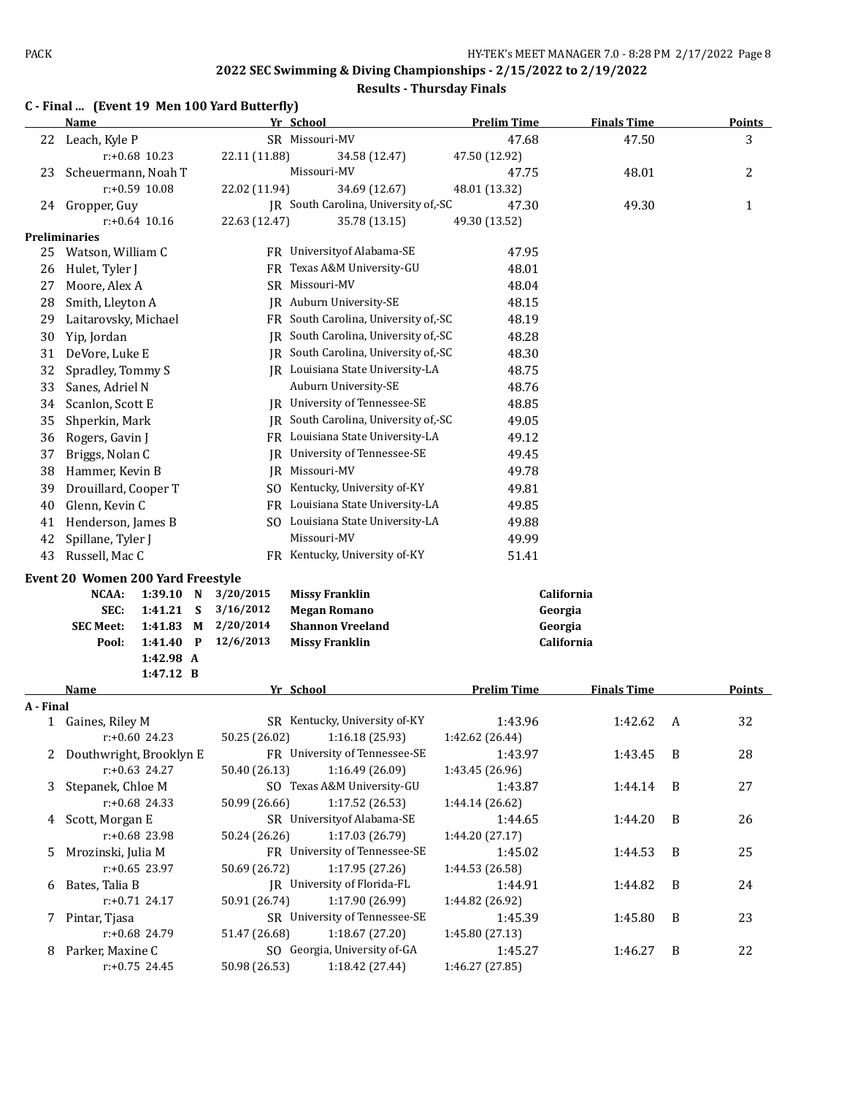| C - Final  (Event 19 Men 100 Yard Butterfly) |  |
|----------------------------------------------|--|
|----------------------------------------------|--|

|           | <u>Name</u>                       |                  |          |               | Yr School                            | <b>Prelim Time</b>         | <b>Finals Time</b> |   | <b>Points</b> |
|-----------|-----------------------------------|------------------|----------|---------------|--------------------------------------|----------------------------|--------------------|---|---------------|
|           | 22 Leach, Kyle P                  |                  |          |               | SR Missouri-MV                       | 47.68                      | 47.50              |   | 3             |
|           |                                   | $r: +0.68$ 10.23 |          | 22.11 (11.88) | 34.58 (12.47)                        | 47.50 (12.92)              |                    |   |               |
| 23        | Scheuermann, Noah T               |                  |          |               | Missouri-MV                          | 47.75                      | 48.01              |   | 2             |
|           |                                   | $r: +0.59$ 10.08 |          | 22.02 (11.94) | 34.69 (12.67)                        | 48.01 (13.32)              |                    |   |               |
|           | 24 Gropper, Guy                   |                  |          |               | JR South Carolina, University of,-SC | 47.30                      | 49.30              |   | 1             |
|           |                                   | $r: +0.64$ 10.16 |          | 22.63 (12.47) | 35.78 (13.15)                        | 49.30 (13.52)              |                    |   |               |
|           | Preliminaries                     |                  |          |               |                                      |                            |                    |   |               |
| 25        | Watson, William C                 |                  |          |               | FR University of Alabama-SE          | 47.95                      |                    |   |               |
| 26        | Hulet, Tyler J                    |                  |          |               | FR Texas A&M University-GU           | 48.01                      |                    |   |               |
| 27        | Moore, Alex A                     |                  |          |               | SR Missouri-MV                       | 48.04                      |                    |   |               |
| 28        | Smith, Lleyton A                  |                  |          |               | JR Auburn University-SE              | 48.15                      |                    |   |               |
| 29        | Laitarovsky, Michael              |                  |          |               | FR South Carolina, University of,-SC | 48.19                      |                    |   |               |
| 30        | Yip, Jordan                       |                  |          |               | JR South Carolina, University of,-SC | 48.28                      |                    |   |               |
| 31        | DeVore, Luke E                    |                  |          |               | JR South Carolina, University of,-SC | 48.30                      |                    |   |               |
| 32        | Spradley, Tommy S                 |                  |          |               | JR Louisiana State University-LA     | 48.75                      |                    |   |               |
| 33        | Sanes, Adriel N                   |                  |          |               | Auburn University-SE                 | 48.76                      |                    |   |               |
| 34        | Scanlon, Scott E                  |                  |          |               | JR University of Tennessee-SE        | 48.85                      |                    |   |               |
| 35        | Shperkin, Mark                    |                  |          |               | IR South Carolina, University of, SC | 49.05                      |                    |   |               |
| 36        | Rogers, Gavin J                   |                  |          |               | FR Louisiana State University-LA     | 49.12                      |                    |   |               |
| 37        | Briggs, Nolan C                   |                  |          |               | JR University of Tennessee-SE        | 49.45                      |                    |   |               |
| 38        | Hammer, Kevin B                   |                  |          |               | JR Missouri-MV                       | 49.78                      |                    |   |               |
| 39        | Drouillard, Cooper T              |                  |          |               | SO Kentucky, University of-KY        | 49.81                      |                    |   |               |
| 40        | Glenn, Kevin C                    |                  |          |               | FR Louisiana State University-LA     | 49.85                      |                    |   |               |
| 41        | Henderson, James B                |                  |          |               | SO Louisiana State University-LA     | 49.88                      |                    |   |               |
| 42        | Spillane, Tyler J                 |                  |          |               | Missouri-MV                          | 49.99                      |                    |   |               |
| 43        | Russell, Mac C                    |                  |          |               | FR Kentucky, University of-KY        | 51.41                      |                    |   |               |
|           | Event 20 Women 200 Yard Freestyle |                  |          |               |                                      |                            |                    |   |               |
|           | <b>NCAA:</b>                      | 1:39.10 N        |          | 3/20/2015     | <b>Missy Franklin</b>                |                            | California         |   |               |
|           | SEC:                              | 1:41.21          | <b>S</b> | 3/16/2012     | <b>Megan Romano</b>                  | Georgia                    |                    |   |               |
|           | <b>SEC Meet:</b>                  | 1:41.83          | M        | 2/20/2014     | <b>Shannon Vreeland</b>              | Georgia                    |                    |   |               |
|           | Pool:                             | 1:41.40 P        |          | 12/6/2013     | <b>Missy Franklin</b>                |                            | California         |   |               |
|           |                                   | 1:42.98 A        |          |               |                                      |                            |                    |   |               |
|           |                                   | 1:47.12 B        |          |               |                                      |                            |                    |   |               |
|           | Name                              |                  |          |               | Yr School                            | <b>Prelim Time</b>         | <b>Finals Time</b> |   | <b>Points</b> |
| A - Final |                                   |                  |          |               |                                      |                            |                    |   |               |
|           | 1 Gaines, Riley M                 |                  |          |               | SR Kentucky, University of-KY        | 1:43.96                    | 1:42.62            | A | 32            |
|           |                                   | $r: +0.60$ 24.23 |          | 50.25 (26.02) | 1:16.18 (25.93)                      | 1:42.62 (26.44)            |                    |   |               |
| 2         | Douthwright, Brooklyn E           | $r: +0.63$ 24.27 |          |               | FR University of Tennessee-SE        | 1:43.97<br>1:43.45 (26.96) | 1:43.45            | B | 28            |
|           |                                   |                  |          | 50.40 (26.13) | 1:16.49 (26.09)                      |                            |                    |   |               |

| r:+0.63 24.27        | 50.40 (26.13) | 1:16.49 (26.09)               | 1:43.45 (26.96) |             |                |    |
|----------------------|---------------|-------------------------------|-----------------|-------------|----------------|----|
| 3 Stepanek, Chloe M  |               | SO Texas A&M University-GU    | 1:43.87         | $1:44.14$ B |                | 27 |
| $r: +0.68$ 24.33     | 50.99 (26.66) | 1:17.52(26.53)                | 1:44.14 (26.62) |             |                |    |
| 4 Scott, Morgan E    |               | SR University of Alabama-SE   | 1:44.65         | 1:44.20     | $\overline{B}$ | 26 |
| $r: +0.68$ 23.98     | 50.24 (26.26) | 1:17.03 (26.79)               | 1:44.20 (27.17) |             |                |    |
| 5 Mrozinski, Julia M |               | FR University of Tennessee-SE | 1:45.02         | $1:44.53$ B |                | 25 |
| $r: +0.65$ 23.97     | 50.69 (26.72) | 1:17.95(27.26)                | 1:44.53 (26.58) |             |                |    |
| 6 Bates, Talia B     |               | JR University of Florida-FL   | 1:44.91         | $1:44.82$ B |                | 24 |
| $r: +0.71$ 24.17     | 50.91 (26.74) | 1:17.90 (26.99)               | 1:44.82 (26.92) |             |                |    |
| 7 Pintar, Tjasa      |               | SR University of Tennessee-SE | 1:45.39         | 1:45.80     | - B            | 23 |
| $r: +0.68$ 24.79     | 51.47 (26.68) | 1:18.67(27.20)                | 1:45.80 (27.13) |             |                |    |
| 8 Parker, Maxine C   |               | SO Georgia, University of-GA  | 1:45.27         | 1:46.27     | $\overline{B}$ | 22 |
| $r: +0.75$ 24.45     | 50.98 (26.53) | 1:18.42 (27.44)               | 1:46.27(27.85)  |             |                |    |
|                      |               |                               |                 |             |                |    |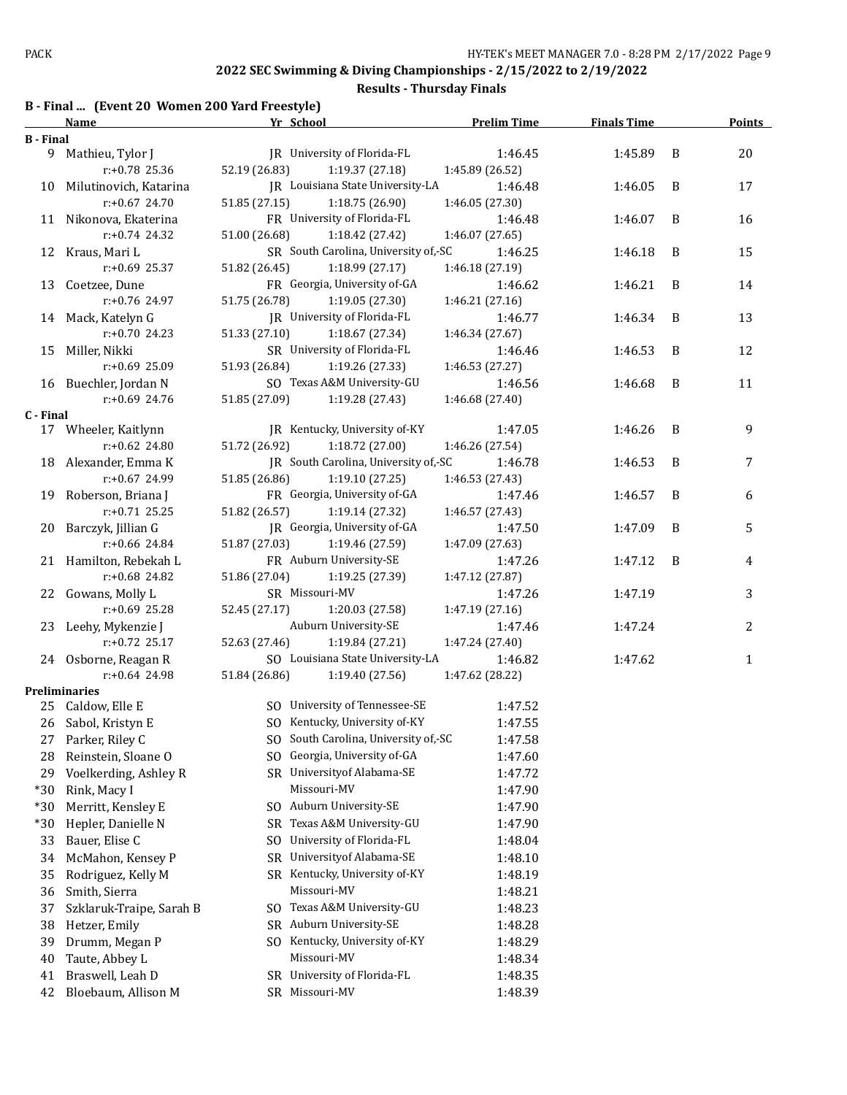|  | B - Final  (Event 20 Women 200 Yard Freestyle) |
|--|------------------------------------------------|
|--|------------------------------------------------|

|                  | Name                                     | Yr School                            | <b>Prelim Time</b> | <b>Finals Time</b> |   | <b>Points</b> |
|------------------|------------------------------------------|--------------------------------------|--------------------|--------------------|---|---------------|
| <b>B</b> - Final |                                          |                                      |                    |                    |   |               |
|                  | 9 Mathieu, Tylor J                       | JR University of Florida-FL          | 1:46.45            | 1:45.89            | B | 20            |
|                  | $r: +0.78$ 25.36                         | 52.19 (26.83)<br>1:19.37 (27.18)     | 1:45.89 (26.52)    |                    |   |               |
|                  | 10 Milutinovich, Katarina                | JR Louisiana State University-LA     | 1:46.48            | 1:46.05            | B | 17            |
|                  | $r: +0.67$ 24.70                         | 51.85 (27.15)<br>1:18.75(26.90)      | 1:46.05 (27.30)    |                    |   |               |
|                  | 11 Nikonova, Ekaterina                   | FR University of Florida-FL          | 1:46.48            | 1:46.07            | B | 16            |
|                  | $r: +0.74$ 24.32                         | 51.00 (26.68)<br>1:18.42 (27.42)     | 1:46.07 (27.65)    |                    |   |               |
|                  | 12 Kraus, Mari L                         | SR South Carolina, University of,-SC | 1:46.25            | 1:46.18            | B | 15            |
|                  | r:+0.69 25.37                            | 51.82 (26.45)<br>1:18.99 (27.17)     | 1:46.18 (27.19)    |                    |   |               |
|                  | 13 Coetzee, Dune                         | FR Georgia, University of-GA         | 1:46.62            | 1:46.21            | B | 14            |
|                  | r:+0.76 24.97                            | 51.75 (26.78)<br>1:19.05 (27.30)     | 1:46.21 (27.16)    |                    |   |               |
|                  | 14 Mack, Katelyn G                       | JR University of Florida-FL          | 1:46.77            | 1:46.34            | B | 13            |
|                  | $r: +0.70$ 24.23                         | 51.33 (27.10)<br>1:18.67 (27.34)     | 1:46.34 (27.67)    |                    |   |               |
|                  | 15 Miller, Nikki                         | SR University of Florida-FL          | 1:46.46            | 1:46.53            | B | 12            |
|                  | r:+0.69 25.09                            | 51.93 (26.84)<br>1:19.26 (27.33)     | 1:46.53 (27.27)    |                    |   |               |
|                  |                                          | SO Texas A&M University-GU           | 1:46.56            | 1:46.68            | B | 11            |
|                  | 16 Buechler, Jordan N                    |                                      |                    |                    |   |               |
|                  | r:+0.69 24.76                            | 51.85 (27.09)<br>1:19.28(27.43)      | 1:46.68 (27.40)    |                    |   |               |
| C - Final        | 17 Wheeler, Kaitlynn                     | JR Kentucky, University of-KY        | 1:47.05            | 1:46.26            | B | 9             |
|                  | $r: +0.62$ 24.80                         | 51.72 (26.92)<br>1:18.72 (27.00)     | 1:46.26 (27.54)    |                    |   |               |
|                  |                                          |                                      |                    |                    |   |               |
|                  | 18 Alexander, Emma K<br>$r: +0.67$ 24.99 | JR South Carolina, University of,-SC | 1:46.78            | 1:46.53            | B | 7             |
|                  |                                          | 51.85 (26.86)<br>1:19.10(27.25)      | 1:46.53 (27.43)    |                    |   |               |
|                  | 19 Roberson, Briana J                    | FR Georgia, University of-GA         | 1:47.46            | 1:46.57            | B | 6             |
|                  | $r: +0.71$ 25.25                         | 51.82 (26.57)<br>1:19.14 (27.32)     | 1:46.57 (27.43)    |                    |   |               |
|                  | 20 Barczyk, Jillian G                    | JR Georgia, University of-GA         | 1:47.50            | 1:47.09            | B | 5             |
|                  | r:+0.66 24.84                            | 51.87 (27.03)<br>1:19.46 (27.59)     | 1:47.09 (27.63)    |                    |   |               |
|                  | 21 Hamilton, Rebekah L                   | FR Auburn University-SE              | 1:47.26            | 1:47.12            | B | 4             |
|                  | r:+0.68 24.82                            | 51.86 (27.04)<br>1:19.25(27.39)      | 1:47.12 (27.87)    |                    |   |               |
|                  | 22 Gowans, Molly L                       | SR Missouri-MV                       | 1:47.26            | 1:47.19            |   | 3             |
|                  | $r: +0.69$ 25.28                         | 52.45 (27.17)<br>1:20.03 (27.58)     | 1:47.19 (27.16)    |                    |   |               |
|                  | 23 Leehy, Mykenzie J                     | Auburn University-SE                 | 1:47.46            | 1:47.24            |   | 2             |
|                  | $r: +0.72$ 25.17                         | 52.63 (27.46)<br>1:19.84(27.21)      | 1:47.24 (27.40)    |                    |   |               |
|                  | 24 Osborne, Reagan R                     | SO Louisiana State University-LA     | 1:46.82            | 1:47.62            |   | $\mathbf 1$   |
|                  | $r: +0.64$ 24.98                         | 51.84 (26.86)<br>1:19.40 (27.56)     | 1:47.62 (28.22)    |                    |   |               |
|                  | <b>Preliminaries</b>                     |                                      |                    |                    |   |               |
|                  | 25 Caldow, Elle E                        | SO University of Tennessee-SE        | 1:47.52            |                    |   |               |
|                  | 26 Sabol, Kristyn E                      | SO Kentucky, University of-KY        | 1:47.55            |                    |   |               |
|                  | 27 Parker, Riley C                       | SO South Carolina, University of,-SC | 1:47.58            |                    |   |               |
| 28               | Reinstein, Sloane O                      | SO Georgia, University of-GA         | 1:47.60            |                    |   |               |
| 29               | Voelkerding, Ashley R                    | SR University of Alabama-SE          | 1:47.72            |                    |   |               |
| $*30$            | Rink, Macy I                             | Missouri-MV                          | 1:47.90            |                    |   |               |
| $*30$            | Merritt, Kensley E                       | SO Auburn University-SE              | 1:47.90            |                    |   |               |
| $*30$            | Hepler, Danielle N                       | Texas A&M University-GU<br>SR        | 1:47.90            |                    |   |               |
| 33               | Bauer, Elise C                           | University of Florida-FL<br>SO.      | 1:48.04            |                    |   |               |
| 34               | McMahon, Kensey P                        | Universityof Alabama-SE<br>SR        | 1:48.10            |                    |   |               |
| 35               | Rodriguez, Kelly M                       | SR Kentucky, University of-KY        | 1:48.19            |                    |   |               |
| 36               | Smith, Sierra                            | Missouri-MV                          | 1:48.21            |                    |   |               |
|                  |                                          | SO Texas A&M University-GU           |                    |                    |   |               |
| 37               | Szklaruk-Traipe, Sarah B                 |                                      | 1:48.23            |                    |   |               |
| 38               | Hetzer, Emily                            | SR Auburn University-SE              | 1:48.28            |                    |   |               |
| 39               | Drumm, Megan P                           | Kentucky, University of-KY<br>SO.    | 1:48.29            |                    |   |               |
| 40               | Taute, Abbey L                           | Missouri-MV                          | 1:48.34            |                    |   |               |
| 41               | Braswell, Leah D                         | University of Florida-FL<br>SR       | 1:48.35            |                    |   |               |
| 42               | Bloebaum, Allison M                      | SR Missouri-MV                       | 1:48.39            |                    |   |               |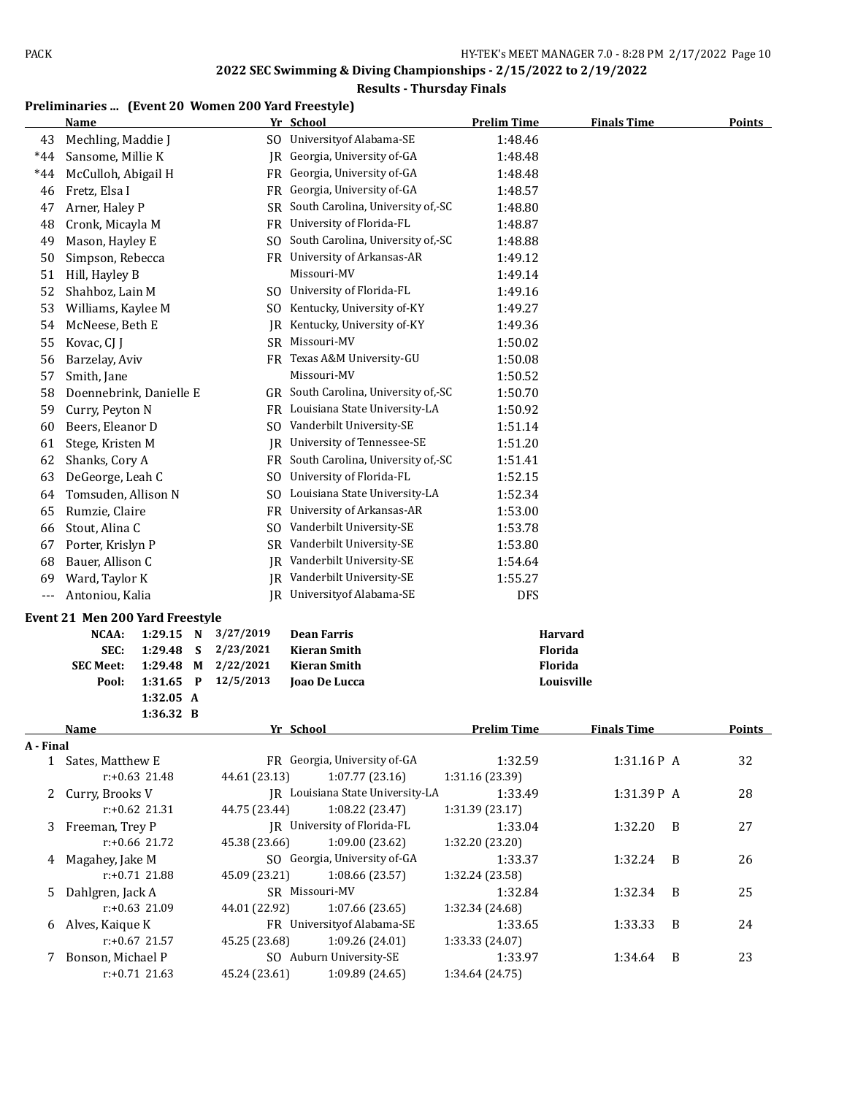## **Results - Thursday Finals**

# **Preliminaries ... (Event 20 Women 200 Yard Freestyle)**

|           | <b>Name</b>                     |                      |   |                        | Yr School                            | <b>Prelim Time</b> | <b>Finals Time</b> |   | <b>Points</b> |
|-----------|---------------------------------|----------------------|---|------------------------|--------------------------------------|--------------------|--------------------|---|---------------|
| 43        | Mechling, Maddie J              |                      |   |                        | SO University of Alabama-SE          | 1:48.46            |                    |   |               |
| $*44$     | Sansome, Millie K               |                      |   |                        | JR Georgia, University of-GA         | 1:48.48            |                    |   |               |
| $*44$     | McCulloh, Abigail H             |                      |   |                        | FR Georgia, University of-GA         | 1:48.48            |                    |   |               |
| 46        | Fretz, Elsa I                   |                      |   |                        | FR Georgia, University of-GA         | 1:48.57            |                    |   |               |
| 47        | Arner, Haley P                  |                      |   | SR                     | South Carolina, University of, SC    | 1:48.80            |                    |   |               |
| 48        | Cronk, Micayla M                |                      |   |                        | FR University of Florida-FL          | 1:48.87            |                    |   |               |
| 49        | Mason, Hayley E                 |                      |   | SO.                    | South Carolina, University of,-SC    | 1:48.88            |                    |   |               |
| 50        | Simpson, Rebecca                |                      |   |                        | FR University of Arkansas-AR         | 1:49.12            |                    |   |               |
| 51        | Hill, Hayley B                  |                      |   |                        | Missouri-MV                          | 1:49.14            |                    |   |               |
| 52        | Shahboz, Lain M                 |                      |   |                        | SO University of Florida-FL          | 1:49.16            |                    |   |               |
| 53        | Williams, Kaylee M              |                      |   |                        | SO Kentucky, University of-KY        | 1:49.27            |                    |   |               |
| 54        | McNeese, Beth E                 |                      |   |                        | JR Kentucky, University of-KY        | 1:49.36            |                    |   |               |
| 55        | Kovac, CJ J                     |                      |   | <b>SR</b>              | Missouri-MV                          | 1:50.02            |                    |   |               |
| 56        | Barzelay, Aviv                  |                      |   |                        | FR Texas A&M University-GU           | 1:50.08            |                    |   |               |
| 57        | Smith, Jane                     |                      |   |                        | Missouri-MV                          | 1:50.52            |                    |   |               |
| 58        | Doennebrink, Danielle E         |                      |   |                        | GR South Carolina, University of,-SC | 1:50.70            |                    |   |               |
| 59        | Curry, Peyton N                 |                      |   |                        | FR Louisiana State University-LA     | 1:50.92            |                    |   |               |
| 60        | Beers, Eleanor D                |                      |   |                        | SO Vanderbilt University-SE          | 1:51.14            |                    |   |               |
| 61        | Stege, Kristen M                |                      |   | IR                     | University of Tennessee-SE           | 1:51.20            |                    |   |               |
| 62        | Shanks, Cory A                  |                      |   | FR                     | South Carolina, University of,-SC    | 1:51.41            |                    |   |               |
| 63        | DeGeorge, Leah C                |                      |   |                        | SO University of Florida-FL          | 1:52.15            |                    |   |               |
| 64        | Tomsuden, Allison N             |                      |   |                        | SO Louisiana State University-LA     | 1:52.34            |                    |   |               |
| 65        | Rumzie, Claire                  |                      |   |                        | FR University of Arkansas-AR         | 1:53.00            |                    |   |               |
| 66        | Stout, Alina C                  |                      |   | SO.                    | Vanderbilt University-SE             | 1:53.78            |                    |   |               |
| 67        | Porter, Krislyn P               |                      |   |                        | SR Vanderbilt University-SE          | 1:53.80            |                    |   |               |
| 68        | Bauer, Allison C                |                      |   | IR                     | Vanderbilt University-SE             | 1:54.64            |                    |   |               |
| 69        | Ward, Taylor K                  |                      |   |                        | JR Vanderbilt University-SE          | 1:55.27            |                    |   |               |
| $---$     | Antoniou, Kalia                 |                      |   | IR                     | Universityof Alabama-SE              | <b>DFS</b>         |                    |   |               |
|           |                                 |                      |   |                        |                                      |                    |                    |   |               |
|           | Event 21 Men 200 Yard Freestyle |                      |   |                        |                                      |                    |                    |   |               |
|           | <b>NCAA:</b>                    | 1:29.15              | N | 3/27/2019              | <b>Dean Farris</b>                   |                    | <b>Harvard</b>     |   |               |
|           | SEC:                            | 1:29.48              | S | 2/23/2021              | <b>Kieran Smith</b>                  |                    | Florida            |   |               |
|           | <b>SEC Meet:</b>                | 1:29.48              | M | 2/22/2021<br>12/5/2013 | <b>Kieran Smith</b>                  |                    | Florida            |   |               |
|           | Pool:                           | 1:31.65<br>1:32.05 A | P |                        | Joao De Lucca                        |                    | Louisville         |   |               |
|           |                                 | 1:36.32 B            |   |                        |                                      |                    |                    |   |               |
|           | <u>Name</u>                     |                      |   |                        | Yr School                            | <b>Prelim Time</b> | <b>Finals Time</b> |   | <b>Points</b> |
| A - Final |                                 |                      |   |                        |                                      |                    |                    |   |               |
|           | 1 Sates, Matthew E              |                      |   |                        | FR Georgia, University of-GA         | 1:32.59            | 1:31.16P A         |   | 32            |
|           |                                 | $r: +0.63$ 21.48     |   | 44.61 (23.13)          | 1:07.77(23.16)                       | 1:31.16 (23.39)    |                    |   |               |
| 2         | Curry, Brooks V                 |                      |   |                        | JR Louisiana State University-LA     | 1:33.49            | 1:31.39P A         |   | 28            |
|           |                                 | $r: +0.62$ 21.31     |   | 44.75 (23.44)          | 1:08.22 (23.47)                      | 1:31.39 (23.17)    |                    |   |               |
| 3         | Freeman, Trey P                 |                      |   |                        | JR University of Florida-FL          | 1:33.04            | 1:32.20            | B | 27            |
|           |                                 | r:+0.66 21.72        |   | 45.38 (23.66)          | 1:09.00 (23.62)                      | 1:32.20 (23.20)    |                    |   |               |
| 4         | Magahey, Jake M                 |                      |   |                        | SO Georgia, University of-GA         | 1:33.37            | 1:32.24            | B | 26            |
|           |                                 | r:+0.71 21.88        |   | 45.09 (23.21)          | 1:08.66 (23.57)                      | 1:32.24 (23.58)    |                    |   |               |
| 5.        | Dahlgren, Jack A                |                      |   |                        | SR Missouri-MV                       | 1:32.84            | 1:32.34            | B | 25            |
|           |                                 | r:+0.63 21.09        |   | 44.01 (22.92)          | 1:07.66(23.65)                       | 1:32.34 (24.68)    |                    |   |               |
| 6         | Alves, Kaique K                 |                      |   |                        | FR University of Alabama-SE          | 1:33.65            | 1:33.33            | B | 24            |
|           |                                 | $r$ :+0.67 21.57     |   | 45.25 (23.68)          | 1:09.26 (24.01)                      | 1:33.33 (24.07)    |                    |   |               |
| 7         | Bonson, Michael P               |                      |   |                        | SO Auburn University-SE              | 1:33.97            | 1:34.64            | B | 23            |
|           |                                 | $r: +0.71$ 21.63     |   | 45.24 (23.61)          | 1:09.89 (24.65)                      | 1:34.64 (24.75)    |                    |   |               |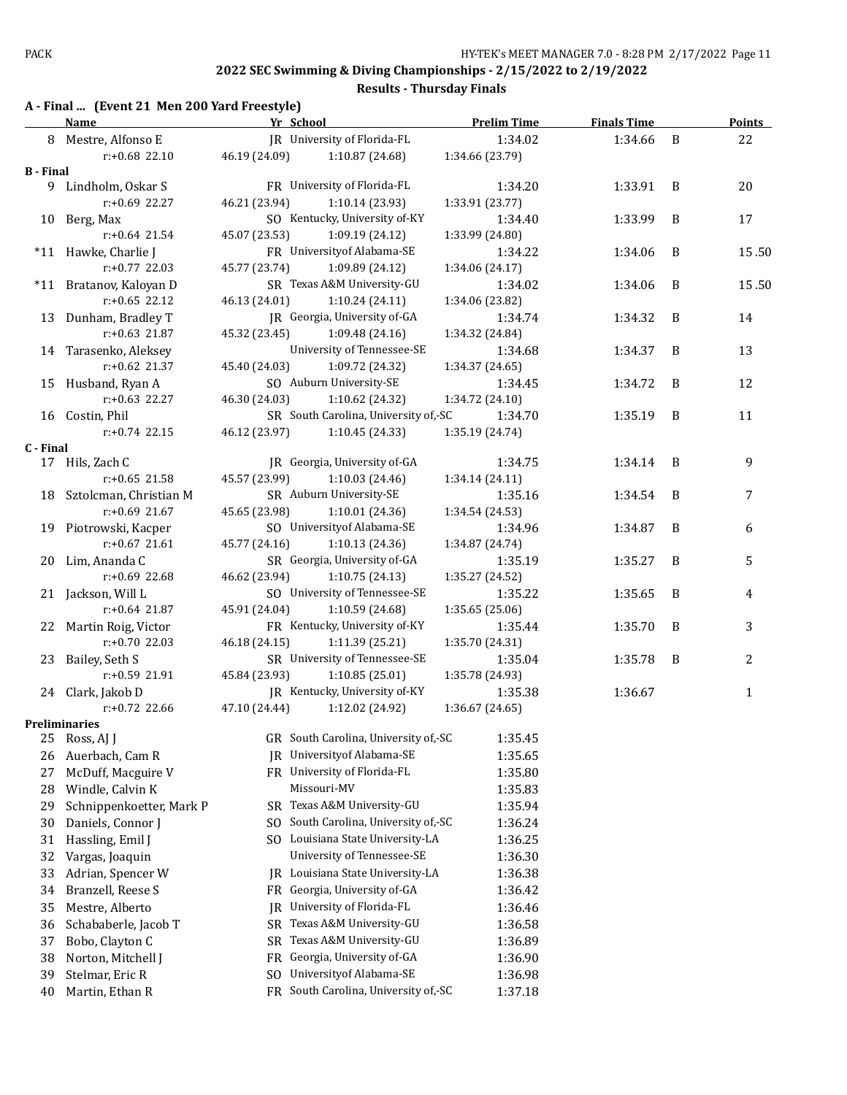## **Results - Thursday Finals**

# **A - Final ... (Event 21 Men 200 Yard Freestyle)**

|           | <u>Name</u>              | Yr School     |                                      | <b>Prelim Time</b> | <b>Finals Time</b> |   | <b>Points</b> |
|-----------|--------------------------|---------------|--------------------------------------|--------------------|--------------------|---|---------------|
|           | 8 Mestre, Alfonso E      |               | IR University of Florida-FL          | 1:34.02            | 1:34.66            | B | 22            |
|           | r:+0.68 22.10            | 46.19 (24.09) | 1:10.87 (24.68)                      | 1:34.66 (23.79)    |                    |   |               |
| B - Final |                          |               |                                      |                    |                    |   |               |
|           | 9 Lindholm, Oskar S      |               | FR University of Florida-FL          | 1:34.20            | 1:33.91            | B | 20            |
|           | r:+0.69 22.27            | 46.21 (23.94) | 1:10.14(23.93)                       | 1:33.91 (23.77)    |                    |   |               |
|           | 10 Berg, Max             |               | SO Kentucky, University of-KY        | 1:34.40            | 1:33.99            | B | 17            |
|           | $r: +0.64$ 21.54         | 45.07 (23.53) | 1:09.19(24.12)                       | 1:33.99 (24.80)    |                    |   |               |
|           | *11 Hawke, Charlie J     |               | FR University of Alabama-SE          | 1:34.22            | 1:34.06            | B | 15.50         |
|           | r:+0.77 22.03            | 45.77 (23.74) | 1:09.89 (24.12)                      | 1:34.06 (24.17)    |                    |   |               |
|           | *11 Bratanov, Kaloyan D  |               | SR Texas A&M University-GU           | 1:34.02            | 1:34.06            | B | 15.50         |
|           | $r: +0.65$ 22.12         | 46.13 (24.01) | 1:10.24(24.11)                       | 1:34.06 (23.82)    |                    |   |               |
|           | 13 Dunham, Bradley T     |               | JR Georgia, University of-GA         | 1:34.74            | 1:34.32            | B | 14            |
|           | r:+0.63 21.87            | 45.32 (23.45) | 1:09.48 (24.16)                      | 1:34.32 (24.84)    |                    |   |               |
|           | 14 Tarasenko, Aleksey    |               | University of Tennessee-SE           | 1:34.68            | 1:34.37            | B | 13            |
|           | r:+0.62 21.37            | 45.40 (24.03) | 1:09.72 (24.32)                      | 1:34.37 (24.65)    |                    |   |               |
|           | 15 Husband, Ryan A       |               | SO Auburn University-SE              | 1:34.45            | 1:34.72            | B | 12            |
|           | $r: +0.63$ 22.27         | 46.30 (24.03) | 1:10.62 (24.32)                      | 1:34.72 (24.10)    |                    |   |               |
|           | 16 Costin, Phil          |               | SR South Carolina, University of,-SC | 1:34.70            | 1:35.19            | B | 11            |
|           | $r: +0.74$ 22.15         | 46.12 (23.97) | 1:10.45 (24.33)                      | 1:35.19 (24.74)    |                    |   |               |
| C - Final |                          |               |                                      |                    |                    |   |               |
|           | 17 Hils, Zach C          |               | JR Georgia, University of-GA         | 1:34.75            | 1:34.14            | B | 9             |
|           | $r: +0.65$ 21.58         | 45.57 (23.99) | 1:10.03 (24.46)                      | 1:34.14 (24.11)    |                    |   |               |
| 18        | Sztolcman, Christian M   |               | SR Auburn University-SE              | 1:35.16            | 1:34.54            | B | 7             |
|           | r:+0.69 21.67            | 45.65 (23.98) | 1:10.01(24.36)                       | 1:34.54 (24.53)    |                    |   |               |
|           | 19 Piotrowski, Kacper    |               | SO University of Alabama-SE          | 1:34.96            | 1:34.87            | B | 6             |
|           | $r: +0.67$ 21.61         | 45.77 (24.16) | 1:10.13 (24.36)                      | 1:34.87 (24.74)    |                    |   |               |
|           | 20 Lim, Ananda C         |               | SR Georgia, University of-GA         | 1:35.19            | 1:35.27            | B | 5             |
|           | r:+0.69 22.68            | 46.62 (23.94) | 1:10.75 (24.13)                      | 1:35.27 (24.52)    |                    |   |               |
|           | 21 Jackson, Will L       |               | SO University of Tennessee-SE        | 1:35.22            | 1:35.65            | B | 4             |
|           | $r: +0.64$ 21.87         | 45.91 (24.04) | 1:10.59 (24.68)                      | 1:35.65 (25.06)    |                    |   |               |
|           | 22 Martin Roig, Victor   |               | FR Kentucky, University of-KY        | 1:35.44            | 1:35.70            | B | 3             |
|           | $r: +0.70$ 22.03         | 46.18 (24.15) | 1:11.39 (25.21)                      | 1:35.70 (24.31)    |                    |   |               |
| 23        | Bailey, Seth S           |               | SR University of Tennessee-SE        | 1:35.04            | 1:35.78            | B | 2             |
|           | r:+0.59 21.91            | 45.84 (23.93) | 1:10.85(25.01)                       | 1:35.78 (24.93)    |                    |   |               |
|           | 24 Clark, Jakob D        |               | JR Kentucky, University of-KY        | 1:35.38            | 1:36.67            |   | $\mathbf{1}$  |
|           | r:+0.72 22.66            | 47.10 (24.44) | 1:12.02 (24.92)                      | 1:36.67 (24.65)    |                    |   |               |
|           | <b>Preliminaries</b>     |               |                                      |                    |                    |   |               |
| 25        | Ross, AJ J               |               | GR South Carolina, University of,-SC | 1:35.45            |                    |   |               |
| 26        | Auerbach, Cam R          |               | JR University of Alabama-SE          | 1:35.65            |                    |   |               |
| 27        | McDuff, Macguire V       |               | FR University of Florida-FL          | 1:35.80            |                    |   |               |
| 28        | Windle, Calvin K         |               | Missouri-MV                          | 1:35.83            |                    |   |               |
| 29        | Schnippenkoetter, Mark P | SR            | Texas A&M University-GU              | 1:35.94            |                    |   |               |
| 30        | Daniels, Connor J        | SO.           | South Carolina, University of,-SC    | 1:36.24            |                    |   |               |
| 31        | Hassling, Emil J         | SO.           | Louisiana State University-LA        | 1:36.25            |                    |   |               |
| 32        | Vargas, Joaquin          |               | University of Tennessee-SE           | 1:36.30            |                    |   |               |
| 33        | Adrian, Spencer W        | IR            | Louisiana State University-LA        | 1:36.38            |                    |   |               |
| 34        | Branzell, Reese S        |               | FR Georgia, University of-GA         | 1:36.42            |                    |   |               |
| 35        | Mestre, Alberto          | IR            | University of Florida-FL             | 1:36.46            |                    |   |               |
| 36        | Schababerle, Jacob T     | SR            | Texas A&M University-GU              | 1:36.58            |                    |   |               |
| 37        | Bobo, Clayton C          | <b>SR</b>     | Texas A&M University-GU              | 1:36.89            |                    |   |               |
| 38        | Norton, Mitchell J       | FR            | Georgia, University of-GA            | 1:36.90            |                    |   |               |
| 39        | Stelmar, Eric R          | SO.           | Universityof Alabama-SE              | 1:36.98            |                    |   |               |
| 40        | Martin, Ethan R          |               | FR South Carolina, University of,-SC | 1:37.18            |                    |   |               |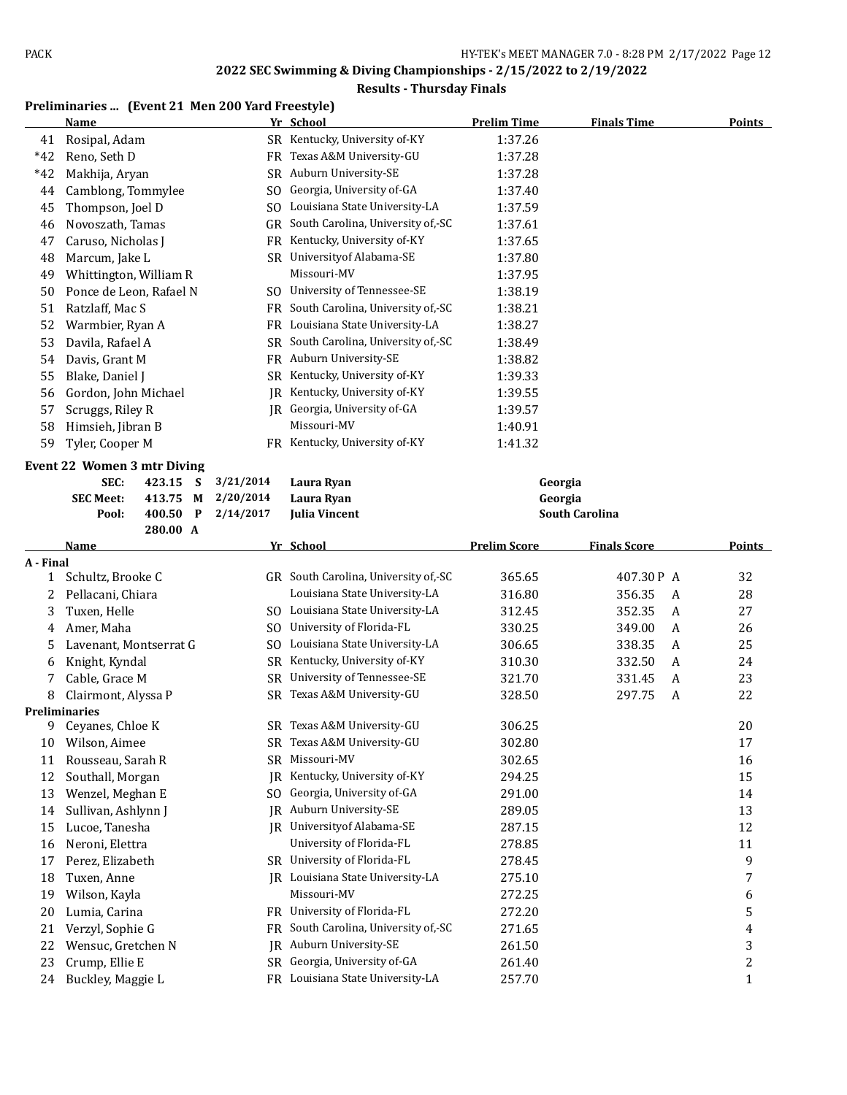## **Results - Thursday Finals**

#### **Preliminaries ... (Event 21 Men 200 Yard Freestyle)**

|           | <u>Name</u>                         |          |           | Yr School                                                     | <b>Prelim Time</b>  | <b>Finals Time</b>    | <u>Points</u>     |
|-----------|-------------------------------------|----------|-----------|---------------------------------------------------------------|---------------------|-----------------------|-------------------|
| 41        | Rosipal, Adam                       |          |           | SR Kentucky, University of-KY                                 | 1:37.26             |                       |                   |
| $*42$     | Reno, Seth D                        |          |           | FR Texas A&M University-GU                                    | 1:37.28             |                       |                   |
| $*42$     | Makhija, Aryan                      |          |           | SR Auburn University-SE                                       | 1:37.28             |                       |                   |
| 44        | Camblong, Tommylee                  |          |           | SO Georgia, University of-GA                                  | 1:37.40             |                       |                   |
| 45        | Thompson, Joel D                    |          |           | SO Louisiana State University-LA                              | 1:37.59             |                       |                   |
| 46        | Novoszath, Tamas                    |          |           | GR South Carolina, University of,-SC                          | 1:37.61             |                       |                   |
|           |                                     |          |           | FR Kentucky, University of-KY                                 |                     |                       |                   |
| 47        | Caruso, Nicholas J                  |          |           |                                                               | 1:37.65             |                       |                   |
| 48        | Marcum, Jake L                      |          |           | SR University of Alabama-SE<br>Missouri-MV                    | 1:37.80             |                       |                   |
| 49        | Whittington, William R              |          |           |                                                               | 1:37.95             |                       |                   |
| 50        | Ponce de Leon, Rafael N             |          |           | SO University of Tennessee-SE                                 | 1:38.19             |                       |                   |
| 51        | Ratzlaff, Mac S                     |          |           | FR South Carolina, University of,-SC                          | 1:38.21             |                       |                   |
| 52        | Warmbier, Ryan A                    |          |           | FR Louisiana State University-LA                              | 1:38.27             |                       |                   |
| 53        | Davila, Rafael A                    |          |           | SR South Carolina, University of,-SC                          | 1:38.49             |                       |                   |
| 54        | Davis, Grant M                      |          |           | FR Auburn University-SE                                       | 1:38.82             |                       |                   |
| 55        | Blake, Daniel J                     |          |           | SR Kentucky, University of-KY                                 | 1:39.33             |                       |                   |
| 56        | Gordon, John Michael                |          | IR        | Kentucky, University of-KY                                    | 1:39.55             |                       |                   |
| 57        | Scruggs, Riley R                    |          |           | JR Georgia, University of-GA                                  | 1:39.57             |                       |                   |
| 58        | Himsieh, Jibran B                   |          |           | Missouri-MV                                                   | 1:40.91             |                       |                   |
| 59        | Tyler, Cooper M                     |          |           | FR Kentucky, University of-KY                                 | 1:41.32             |                       |                   |
|           | <b>Event 22 Women 3 mtr Diving</b>  |          |           |                                                               |                     |                       |                   |
|           | SEC:                                | 423.15 S | 3/21/2014 | Laura Ryan                                                    | Georgia             |                       |                   |
|           | <b>SEC Meet:</b>                    | 413.75 M | 2/20/2014 | Laura Ryan                                                    | Georgia             |                       |                   |
|           | Pool:                               | 400.50 P | 2/14/2017 | <b>Julia Vincent</b>                                          |                     | <b>South Carolina</b> |                   |
|           |                                     | 280.00 A |           |                                                               |                     |                       |                   |
|           | Name                                |          |           | Yr School                                                     | <b>Prelim Score</b> | <b>Finals Score</b>   | <b>Points</b>     |
| A - Final |                                     |          |           |                                                               |                     |                       |                   |
| 1         | Schultz, Brooke C                   |          |           | GR South Carolina, University of,-SC                          | 365.65              | 407.30P A             | 32                |
| 2         | Pellacani, Chiara                   |          |           | Louisiana State University-LA                                 | 316.80              | 356.35<br>A           | 28                |
| 3         | Tuxen, Helle                        |          |           | SO Louisiana State University-LA                              | 312.45              | 352.35<br>A           | 27                |
| 4         | Amer, Maha                          |          |           | SO University of Florida-FL                                   | 330.25              | 349.00<br>A           | 26                |
| 5         | Lavenant, Montserrat G              |          |           | SO Louisiana State University-LA                              | 306.65              | 338.35<br>A           | 25                |
| 6         | Knight, Kyndal                      |          |           | SR Kentucky, University of-KY                                 | 310.30              | 332.50<br>A           | 24                |
| 7         | Cable, Grace M                      |          |           | SR University of Tennessee-SE                                 | 321.70              | 331.45<br>A           | 23                |
| 8         | Clairmont, Alyssa P                 |          |           | SR Texas A&M University-GU                                    | 328.50              | 297.75<br>A           | 22                |
|           | Preliminaries                       |          |           |                                                               |                     |                       |                   |
| 9         | Ceyanes, Chloe K                    |          |           | SR Texas A&M University-GU                                    | 306.25              |                       | 20                |
| 10        | Wilson, Aimee                       |          |           | SR Texas A&M University-GU                                    | 302.80              |                       | 17                |
| 11        | Rousseau, Sarah R                   |          | SR        | Missouri-MV                                                   | 302.65              |                       | 16                |
| 12        | Southall, Morgan                    |          | JR        | Kentucky, University of-KY                                    | 294.25              |                       | 15                |
| 13        | Wenzel, Meghan E                    |          | SO.       | Georgia, University of-GA                                     | 291.00              |                       | 14                |
| 14        | Sullivan, Ashlynn J                 |          | IR.       | Auburn University-SE                                          | 289.05              |                       | 13                |
| 15        | Lucoe, Tanesha                      |          | IR        | Universityof Alabama-SE                                       | 287.15              |                       | 12                |
| 16        | Neroni, Elettra                     |          |           | University of Florida-FL                                      | 278.85              |                       | 11                |
| 17        | Perez, Elizabeth                    |          |           | SR University of Florida-FL                                   | 278.45              |                       | 9                 |
| 18        | Tuxen, Anne                         |          | IR        | Louisiana State University-LA                                 | 275.10              |                       | 7                 |
| 19        | Wilson, Kayla                       |          |           | Missouri-MV                                                   | 272.25              |                       | 6                 |
| 20        | Lumia, Carina                       |          |           | FR University of Florida-FL                                   | 272.20              |                       | 5                 |
| 21        | Verzyl, Sophie G                    |          | FR        | South Carolina, University of,-SC                             | 271.65              |                       | 4                 |
| 22        |                                     |          |           |                                                               |                     |                       |                   |
|           |                                     |          |           |                                                               |                     |                       |                   |
|           | Wensuc, Gretchen N                  |          | JR.       | Auburn University-SE                                          | 261.50              |                       | 3                 |
| 23<br>24  | Crump, Ellie E<br>Buckley, Maggie L |          | SR        | Georgia, University of-GA<br>FR Louisiana State University-LA | 261.40<br>257.70    |                       | 2<br>$\mathbf{1}$ |